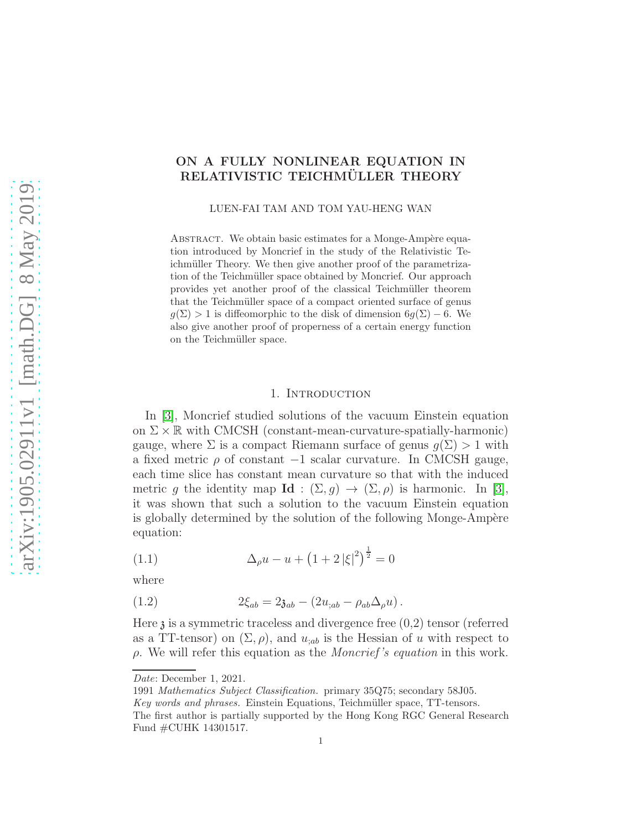# ON A FULLY NONLINEAR EQUATION IN RELATIVISTIC TEICHMÜLLER THEORY

LUEN-FAI TAM AND TOM YAU-HENG WAN

ABSTRACT. We obtain basic estimates for a Monge-Ampère equation introduced by Moncrief in the study of the Relativistic Teichmüller Theory. We then give another proof of the parametrization of the Teichmüller space obtained by Moncrief. Our approach provides yet another proof of the classical Teichmüller theorem that the Teichmüller space of a compact oriented surface of genus  $q(\Sigma) > 1$  is diffeomorphic to the disk of dimension  $6q(\Sigma) - 6$ . We also give another proof of properness of a certain energy function on the Teichmüller space.

#### 1. INTRODUCTION

In [\[3\]](#page-25-0), Moncrief studied solutions of the vacuum Einstein equation on  $\Sigma \times \mathbb{R}$  with CMCSH (constant-mean-curvature-spatially-harmonic) gauge, where  $\Sigma$  is a compact Riemann surface of genus  $g(\Sigma) > 1$  with a fixed metric  $\rho$  of constant  $-1$  scalar curvature. In CMCSH gauge, each time slice has constant mean curvature so that with the induced metric g the identity map  $\mathbf{Id} : (\Sigma, g) \to (\Sigma, \rho)$  is harmonic. In [\[3\]](#page-25-0), it was shown that such a solution to the vacuum Einstein equation is globally determined by the solution of the following Monge-Ampère equation:

(1.1) 
$$
\Delta_{\rho}u - u + (1 + 2|\xi|^{2})^{\frac{1}{2}} = 0
$$

where

(1.2) 
$$
2\xi_{ab} = 2\mathfrak{z}_{ab} - (2u_{;ab} - \rho_{ab}\Delta_{\rho}u).
$$

Here  $\lambda$  is a symmetric traceless and divergence free  $(0,2)$  tensor (referred as a TT-tensor) on  $(\Sigma, \rho)$ , and  $u_{;ab}$  is the Hessian of u with respect to  $\rho$ . We will refer this equation as the *Moncrief's equation* in this work.

Date: December 1, 2021.

<sup>1991</sup> Mathematics Subject Classification. primary 35Q75; secondary 58J05.

Key words and phrases. Einstein Equations, Teichmüller space, TT-tensors.

The first author is partially supported by the Hong Kong RGC General Research Fund #CUHK 14301517.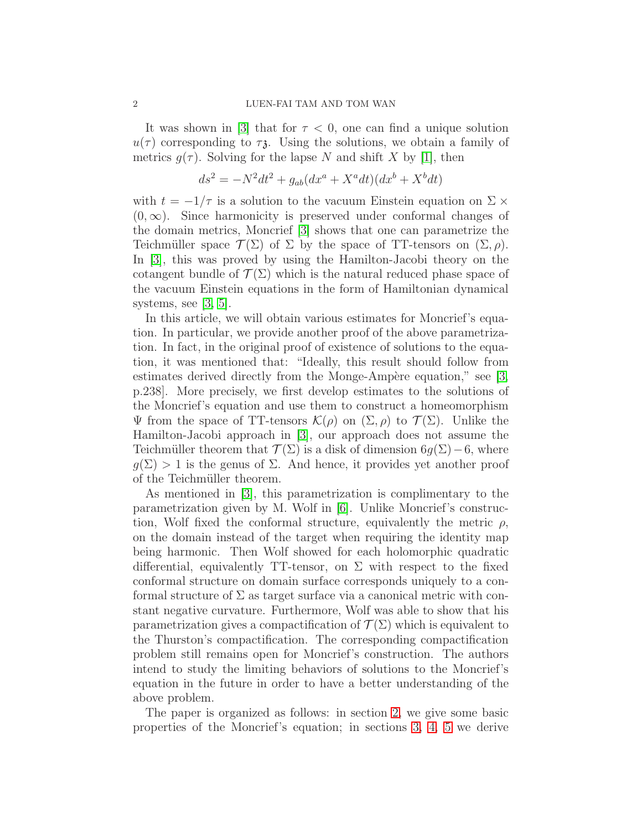It was shown in [\[3\]](#page-25-0) that for  $\tau < 0$ , one can find a unique solution  $u(\tau)$  corresponding to  $\tau_{\lambda}$ . Using the solutions, we obtain a family of metrics  $g(\tau)$ . Solving for the lapse N and shift X by [\[1\]](#page-25-1), then

$$
ds2 = -N2dt2 + gab(dxa + Xadt)(dxb + Xbdt)
$$

with  $t = -1/\tau$  is a solution to the vacuum Einstein equation on  $\Sigma \times$  $(0, \infty)$ . Since harmonicity is preserved under conformal changes of the domain metrics, Moncrief [\[3\]](#page-25-0) shows that one can parametrize the Teichmüller space  $\mathcal{T}(\Sigma)$  of  $\Sigma$  by the space of TT-tensors on  $(\Sigma, \rho)$ . In [\[3\]](#page-25-0), this was proved by using the Hamilton-Jacobi theory on the cotangent bundle of  $\mathcal{T}(\Sigma)$  which is the natural reduced phase space of the vacuum Einstein equations in the form of Hamiltonian dynamical systems, see  $|3, 5|$ .

In this article, we will obtain various estimates for Moncrief's equation. In particular, we provide another proof of the above parametrization. In fact, in the original proof of existence of solutions to the equation, it was mentioned that: "Ideally, this result should follow from estimates derived directly from the Monge-Ampère equation," see  $[3, \mathbb{R}]$  $[3, \mathbb{R}]$ p.238]. More precisely, we first develop estimates to the solutions of the Moncrief's equation and use them to construct a homeomorphism Ψ from the space of TT-tensors  $\mathcal{K}(\rho)$  on  $(\Sigma, \rho)$  to  $\mathcal{T}(\Sigma)$ . Unlike the Hamilton-Jacobi approach in [\[3\]](#page-25-0), our approach does not assume the Teichmüller theorem that  $\mathcal{T}(\Sigma)$  is a disk of dimension  $6g(\Sigma)-6$ , where  $g(\Sigma) > 1$  is the genus of  $\Sigma$ . And hence, it provides yet another proof of the Teichmüller theorem.

As mentioned in [\[3\]](#page-25-0), this parametrization is complimentary to the parametrization given by M. Wolf in [\[6\]](#page-25-3). Unlike Moncrief's construction, Wolf fixed the conformal structure, equivalently the metric  $\rho$ , on the domain instead of the target when requiring the identity map being harmonic. Then Wolf showed for each holomorphic quadratic differential, equivalently TT-tensor, on  $\Sigma$  with respect to the fixed conformal structure on domain surface corresponds uniquely to a conformal structure of  $\Sigma$  as target surface via a canonical metric with constant negative curvature. Furthermore, Wolf was able to show that his parametrization gives a compactification of  $\mathcal{T}(\Sigma)$  which is equivalent to the Thurston's compactification. The corresponding compactification problem still remains open for Moncrief's construction. The authors intend to study the limiting behaviors of solutions to the Moncrief's equation in the future in order to have a better understanding of the above problem.

The paper is organized as follows: in section [2,](#page-2-0) we give some basic properties of the Moncrief's equation; in sections [3,](#page-6-0) [4,](#page-11-0) [5](#page-14-0) we derive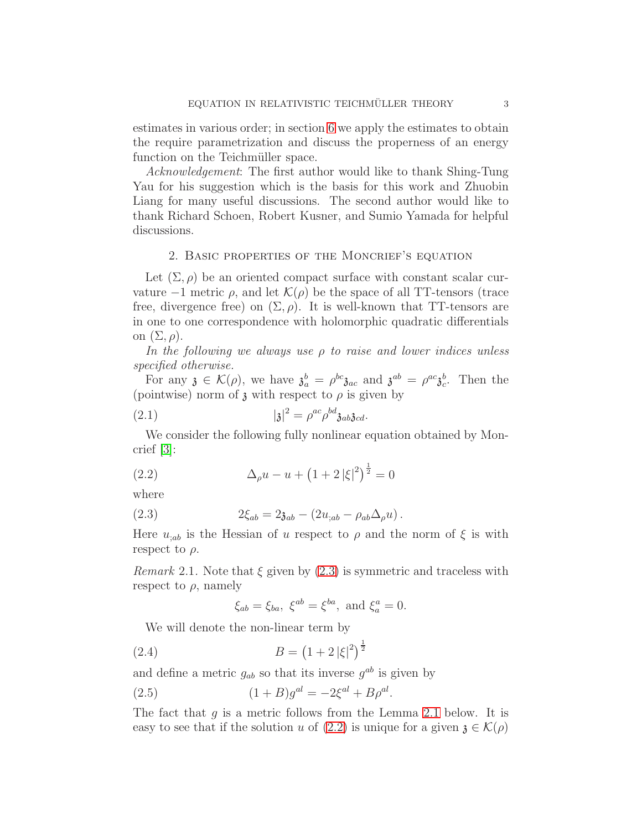estimates in various order; in section [6](#page-17-0) we apply the estimates to obtain the require parametrization and discuss the properness of an energy function on the Teichmüller space.

Acknowledgement: The first author would like to thank Shing-Tung Yau for his suggestion which is the basis for this work and Zhuobin Liang for many useful discussions. The second author would like to thank Richard Schoen, Robert Kusner, and Sumio Yamada for helpful discussions.

## <span id="page-2-0"></span>2. Basic properties of the Moncrief's equation

Let  $(\Sigma, \rho)$  be an oriented compact surface with constant scalar curvature  $-1$  metric  $\rho$ , and let  $\mathcal{K}(\rho)$  be the space of all TT-tensors (trace free, divergence free) on  $(\Sigma, \rho)$ . It is well-known that TT-tensors are in one to one correspondence with holomorphic quadratic differentials on  $(\Sigma, \rho)$ .

In the following we always use  $\rho$  to raise and lower indices unless specified otherwise.

For any  $\mathfrak{z} \in \mathcal{K}(\rho)$ , we have  $\mathfrak{z}_a^b = \rho^{bc} \mathfrak{z}_{ac}$  and  $\mathfrak{z}^{ab} = \rho^{ac} \mathfrak{z}_c^b$ . Then the (pointwise) norm of  $\mathfrak z$  with respect to  $\rho$  is given by

$$
(2.1) \t\t\t | \mathfrak{z} |^2 = \rho^{ac} \rho^{bd} \mathfrak{z}_{ab} \mathfrak{z}_{cd}.
$$

We consider the following fully nonlinear equation obtained by Moncrief [\[3\]](#page-25-0):

<span id="page-2-2"></span>(2.2) 
$$
\Delta_{\rho}u - u + (1 + 2|\xi|^{2})^{\frac{1}{2}} = 0
$$

where

(2.3) 
$$
2\xi_{ab} = 2\mathfrak{z}_{ab} - (2u_{;ab} - \rho_{ab}\Delta_{\rho}u).
$$

Here  $u_{;ab}$  is the Hessian of u respect to  $\rho$  and the norm of  $\xi$  is with respect to  $\rho$ .

*Remark* 2.1. Note that  $\xi$  given by [\(2.3\)](#page-2-1) is symmetric and traceless with respect to  $\rho$ , namely

<span id="page-2-3"></span><span id="page-2-1"></span>
$$
\xi_{ab} = \xi_{ba}, \ \xi^{ab} = \xi^{ba}, \text{ and } \xi^a_a = 0.
$$

We will denote the non-linear term by

(2.4) 
$$
B = (1 + 2|\xi|^2)^{\frac{1}{2}}
$$

and define a metric  $g_{ab}$  so that its inverse  $g^{ab}$  is given by

(2.5)  $(1 + B)g^{al} = -2\xi^{al} + B\rho^{al}.$ 

The fact that  $g$  is a metric follows from the Lemma [2.1](#page-3-0) below. It is easy to see that if the solution u of [\(2.2\)](#page-2-2) is unique for a given  $\mathfrak{z} \in \mathcal{K}(\rho)$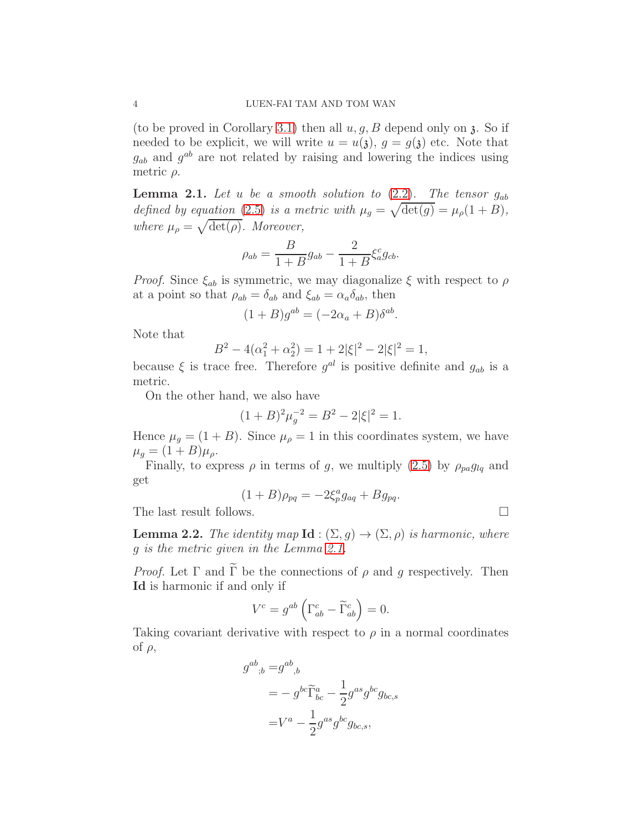(to be proved in Corollary [3.1\)](#page-9-0) then all  $u, g, B$  depend only on  $\lambda$ . So if needed to be explicit, we will write  $u = u(\mathfrak{z}), g = g(\mathfrak{z})$  etc. Note that  $g_{ab}$  and  $g^{ab}$  are not related by raising and lowering the indices using metric  $\rho$ .

<span id="page-3-0"></span>**Lemma 2.1.** Let u be a smooth solution to  $(2.2)$ . The tensor  $g_{ab}$ defined by equation [\(2.5\)](#page-2-3) is a metric with  $\mu_g = \sqrt{\det(g)} = \mu_\rho(1+B)$ , where  $\mu_{\rho} = \sqrt{\det(\rho)}$ . Moreover,

$$
\rho_{ab} = \frac{B}{1+B}g_{ab} - \frac{2}{1+B}\xi_a^c g_{cb}.
$$

*Proof.* Since  $\xi_{ab}$  is symmetric, we may diagonalize  $\xi$  with respect to  $\rho$ at a point so that  $\rho_{ab} = \delta_{ab}$  and  $\xi_{ab} = \alpha_a \delta_{ab}$ , then

$$
(1+B)g^{ab} = (-2\alpha_a + B)\delta^{ab}.
$$

Note that

$$
B^2 - 4(\alpha_1^2 + \alpha_2^2) = 1 + 2|\xi|^2 - 2|\xi|^2 = 1,
$$

because  $\xi$  is trace free. Therefore  $g^{al}$  is positive definite and  $g_{ab}$  is a metric.

On the other hand, we also have

$$
(1 + B)^2 \mu_g^{-2} = B^2 - 2|\xi|^2 = 1.
$$

Hence  $\mu_g = (1 + B)$ . Since  $\mu_\rho = 1$  in this coordinates system, we have  $\mu_q = (1 + B)\mu_\rho.$ 

Finally, to express  $\rho$  in terms of g, we multiply [\(2.5\)](#page-2-3) by  $\rho_{pa}g_{lq}$  and get

$$
(1+B)\rho_{pq} = -2\xi_p^a g_{aq} + Bg_{pq}.
$$

The last result follows.

<span id="page-3-1"></span>**Lemma 2.2.** The identity map **Id** :  $(\Sigma, g) \rightarrow (\Sigma, \rho)$  is harmonic, where g is the metric given in the Lemma [2.1.](#page-3-0)

*Proof.* Let  $\Gamma$  and  $\widetilde{\Gamma}$  be the connections of  $\rho$  and  $q$  respectively. Then Id is harmonic if and only if

$$
V^c = g^{ab} \left( \Gamma^c_{ab} - \widetilde{\Gamma}^c_{ab} \right) = 0.
$$

Taking covariant derivative with respect to  $\rho$  in a normal coordinates of  $\rho$ ,

$$
g^{ab}_{\quad;b} = g^{ab}_{\quad,b}
$$
  
=  $-g^{bc}\widetilde{\Gamma}_{bc}^a - \frac{1}{2}g^{as}g^{bc}g_{bc,s}$   
=  $V^a - \frac{1}{2}g^{as}g^{bc}g_{bc,s}$ ,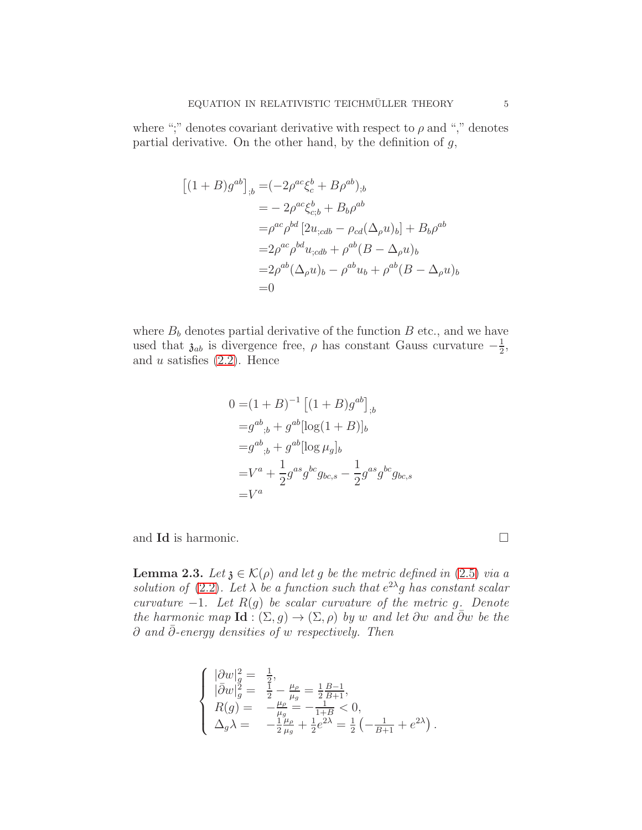where ";" denotes covariant derivative with respect to  $\rho$  and "," denotes partial derivative. On the other hand, by the definition of  $g$ ,

$$
[(1 + B)g^{ab}]_{,b} = (-2\rho^{ac}\xi_c^b + B\rho^{ab})_{,b}
$$
  
\n
$$
= -2\rho^{ac}\xi_{c;b}^b + B_b\rho^{ab}
$$
  
\n
$$
= \rho^{ac}\rho^{bd}[2u_{;cdb} - \rho_{cd}(\Delta_\rho u)_b] + B_b\rho^{ab}
$$
  
\n
$$
= 2\rho^{ac}\rho^{bd}u_{;cdb} + \rho^{ab}(B - \Delta_\rho u)_b
$$
  
\n
$$
= 2\rho^{ab}(\Delta_\rho u)_b - \rho^{ab}u_b + \rho^{ab}(B - \Delta_\rho u)_b
$$
  
\n
$$
= 0
$$

where  $B_b$  denotes partial derivative of the function  $B$  etc., and we have used that  $\mathfrak{z}_{ab}$  is divergence free,  $\rho$  has constant Gauss curvature  $-\frac{1}{2}$  $\frac{1}{2}$ , and  $u$  satisfies  $(2.2)$ . Hence

$$
0 = (1 + B)^{-1} [(1 + B)g^{ab}]_{,b}
$$
  
\n
$$
= g^{ab}_{,b} + g^{ab} [\log(1 + B)]_b
$$
  
\n
$$
= g^{ab}_{,b} + g^{ab} [\log \mu_g]_b
$$
  
\n
$$
= V^a + \frac{1}{2} g^{as} g^{bc} g_{bc,s} - \frac{1}{2} g^{as} g^{bc} g_{bc,s}
$$
  
\n
$$
= V^a
$$

and **Id** is harmonic.

<span id="page-4-0"></span>**Lemma 2.3.** Let  $\mathfrak{z} \in \mathcal{K}(\rho)$  and let g be the metric defined in [\(2.5\)](#page-2-3) via a solution of [\(2.2\)](#page-2-2). Let  $\lambda$  be a function such that  $e^{2\lambda}g$  has constant scalar curvature  $-1$ . Let  $R(g)$  be scalar curvature of the metric g. Denote the harmonic map  $\text{Id}$  :  $(\Sigma, g) \to (\Sigma, \rho)$  by w and let  $\partial w$  and  $\overline{\partial} w$  be the  $\partial$  and  $\overline{\partial}$ -energy densities of w respectively. Then

$$
\left\{ \begin{array}{ll} |\partial w|_g^2 = & \frac{1}{2}, \\ |\bar{\partial} w|_g^2 = & \frac{1}{2} - \frac{\mu_\rho}{\mu_g} = \frac{1}{2} \frac{B-1}{B+1}, \\ R(g) = & -\frac{\mu_\rho}{\mu_g} = -\frac{1}{1+B} < 0, \\ \Delta_g \lambda = & -\frac{1}{2} \frac{\mu_\rho}{\mu_g} + \frac{1}{2} e^{2\lambda} = \frac{1}{2} \left( -\frac{1}{B+1} + e^{2\lambda} \right). \end{array} \right.
$$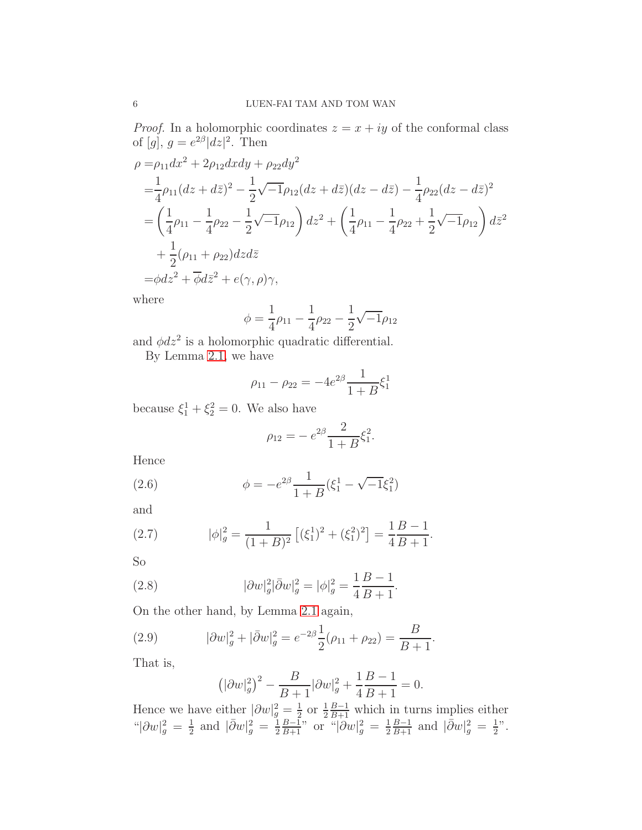*Proof.* In a holomorphic coordinates  $z = x + iy$  of the conformal class of [g],  $g = e^{2\beta} |dz|^2$ . Then

$$
\rho = \rho_{11} dx^2 + 2\rho_{12} dxdy + \rho_{22} dy^2
$$
  
=  $\frac{1}{4}\rho_{11} (dz + d\bar{z})^2 - \frac{1}{2}\sqrt{-1}\rho_{12} (dz + d\bar{z}) (dz - d\bar{z}) - \frac{1}{4}\rho_{22} (dz - d\bar{z})^2$   
=  $\left(\frac{1}{4}\rho_{11} - \frac{1}{4}\rho_{22} - \frac{1}{2}\sqrt{-1}\rho_{12}\right) dz^2 + \left(\frac{1}{4}\rho_{11} - \frac{1}{4}\rho_{22} + \frac{1}{2}\sqrt{-1}\rho_{12}\right) d\bar{z}^2$   
+  $\frac{1}{2}(\rho_{11} + \rho_{22}) dz d\bar{z}$   
=  $\phi dz^2 + \overline{\phi} d\bar{z}^2 + e(\gamma, \rho)\gamma$ ,

where

$$
\phi = \frac{1}{4}\rho_{11} - \frac{1}{4}\rho_{22} - \frac{1}{2}\sqrt{-1}\rho_{12}
$$

and  $\phi dz^2$  is a holomorphic quadratic differential.

By Lemma [2.1,](#page-3-0) we have

$$
\rho_{11} - \rho_{22} = -4e^{2\beta} \frac{1}{1+B} \xi_1^1
$$

because  $\xi_1^1 + \xi_2^2 = 0$ . We also have

$$
\rho_{12} = -e^{2\beta} \frac{2}{1+B} \xi_1^2.
$$

Hence

(2.6) 
$$
\phi = -e^{2\beta} \frac{1}{1+B} (\xi_1^1 - \sqrt{-1}\xi_1^2)
$$

and

(2.7) 
$$
|\phi|_g^2 = \frac{1}{(1+B)^2} \left[ (\xi_1^1)^2 + (\xi_1^2)^2 \right] = \frac{1}{4} \frac{B-1}{B+1}.
$$

So

(2.8) 
$$
|\partial w|_g^2 |\bar{\partial} w|_g^2 = |\phi|_g^2 = \frac{1}{4} \frac{B-1}{B+1}.
$$

On the other hand, by Lemma [2.1](#page-3-0) again,

(2.9) 
$$
|\partial w|_g^2 + |\bar{\partial} w|_g^2 = e^{-2\beta} \frac{1}{2} (\rho_{11} + \rho_{22}) = \frac{B}{B+1}.
$$

That is,

$$
(|\partial w|_g^2)^2 - \frac{B}{B+1} |\partial w|_g^2 + \frac{1}{4} \frac{B-1}{B+1} = 0.
$$

Hence we have either  $|\partial w|_g^2 = \frac{1}{2}$  $\frac{1}{2}$  or  $\frac{1}{2}\frac{B-1}{B+1}$  which in turns implies either " $|\partial w|_g^2 = \frac{1}{2}$  $rac{1}{2}$  and  $|\bar{\partial}w|_g^2 = \frac{1}{2}$  $\frac{1}{2} \frac{B-1}{B+1}$ " or " $|\partial w|_g^2 = \frac{1}{2}$  $\frac{1}{2} \frac{B-1}{B+1}$  and  $|\bar{\partial}w|_g^2 = \frac{1}{2}$  $\frac{1}{2}$ ".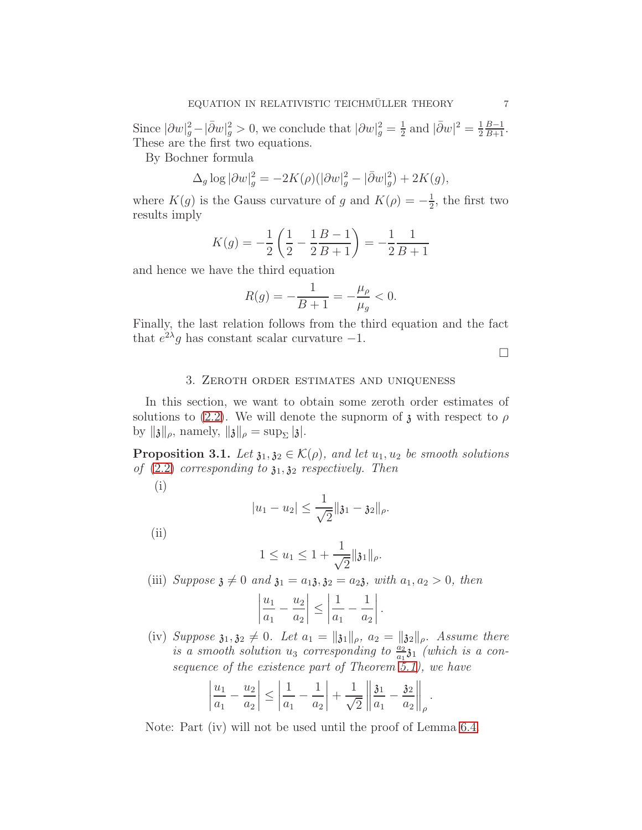Since  $|\partial w|_g^2 - |\bar{\partial} w|_g^2 > 0$ , we conclude that  $|\partial w|_g^2 = \frac{1}{2}$  $\frac{1}{2}$  and  $|\bar{\partial}w|^2 = \frac{1}{2}$  $rac{1}{2}$  $rac{B-1}{B+1}$ . These are the first two equations.

By Bochner formula

$$
\Delta_g \log |\partial w|_g^2 = -2K(\rho)(|\partial w|_g^2 - |\bar{\partial} w|_g^2) + 2K(g),
$$

where  $K(g)$  is the Gauss curvature of g and  $K(\rho) = -\frac{1}{2}$  $\frac{1}{2}$ , the first two results imply

$$
K(g) = -\frac{1}{2} \left( \frac{1}{2} - \frac{1}{2} \frac{B - 1}{B + 1} \right) = -\frac{1}{2} \frac{1}{B + 1}
$$

and hence we have the third equation

$$
R(g) = -\frac{1}{B+1} = -\frac{\mu_{\rho}}{\mu_{g}} < 0.
$$

Finally, the last relation follows from the third equation and the fact that  $e^{2\lambda}g$  has constant scalar curvature -1.

 $\Box$ 

## 3. Zeroth order estimates and uniqueness

<span id="page-6-0"></span>In this section, we want to obtain some zeroth order estimates of solutions to [\(2.2\)](#page-2-2). We will denote the supnorm of  $\chi$  with respect to  $\rho$ by  $\| \mathfrak{z} \|_{\rho}$ , namely,  $\| \mathfrak{z} \|_{\rho} = \sup_{\Sigma} | \mathfrak{z} |$ .

<span id="page-6-1"></span>**Proposition 3.1.** Let  $\mathfrak{z}_1, \mathfrak{z}_2 \in \mathcal{K}(\rho)$ , and let  $u_1, u_2$  be smooth solutions of  $(2.2)$  corresponding to  $\mathfrak{z}_1, \mathfrak{z}_2$  respectively. Then

(i)

$$
|u_1 - u_2| \leq \frac{1}{\sqrt{2}} ||\mathfrak{z}_1 - \mathfrak{z}_2||_\rho.
$$

(ii)

$$
1 \le u_1 \le 1 + \frac{1}{\sqrt{2}} \|\mathfrak{z}_1\|_{\rho}.
$$

(iii) Suppose  $\mathfrak{z} \neq 0$  and  $\mathfrak{z}_1 = a_1 \mathfrak{z}, \mathfrak{z}_2 = a_2 \mathfrak{z}$ , with  $a_1, a_2 > 0$ , then

$$
\left|\frac{u_1}{a_1} - \frac{u_2}{a_2}\right| \le \left|\frac{1}{a_1} - \frac{1}{a_2}\right|.
$$

(iv) Suppose  $\mathfrak{z}_1, \mathfrak{z}_2 \neq 0$ . Let  $a_1 = \|\mathfrak{z}_1\|_{\rho}$ ,  $a_2 = \|\mathfrak{z}_2\|_{\rho}$ . Assume there is a smooth solution  $u_3$  corresponding to  $\frac{a_2}{a_1}$   $\frac{a_1}{b_1}$  (which is a consequence of the existence part of Theorem  $\tilde{5}.1$ , we have

$$
\left|\frac{u_1}{a_1} - \frac{u_2}{a_2}\right| \le \left|\frac{1}{a_1} - \frac{1}{a_2}\right| + \frac{1}{\sqrt{2}} \left\| \frac{\mathfrak{z}_1}{a_1} - \frac{\mathfrak{z}_2}{a_2}\right\|_{\rho}.
$$

Note: Part (iv) will not be used until the proof of Lemma [6.4.](#page-23-0)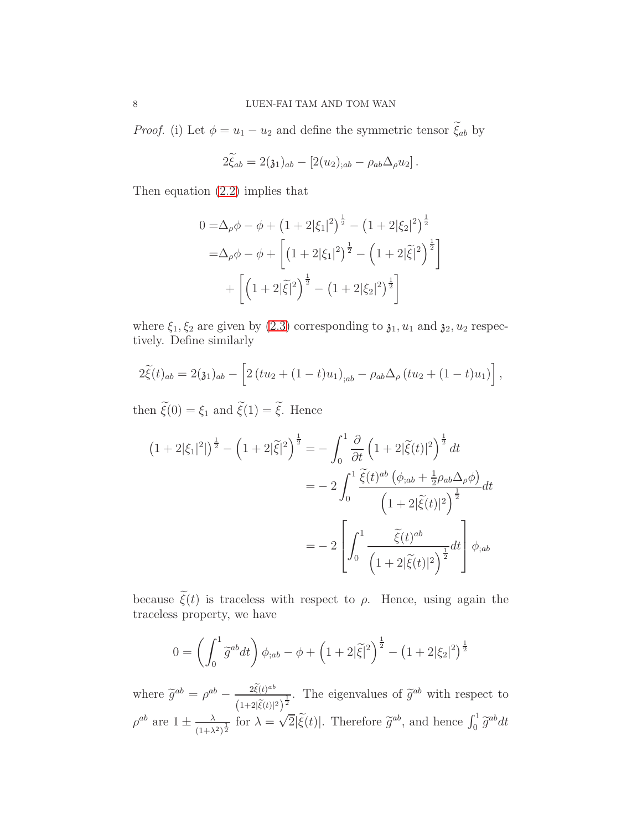*Proof.* (i) Let  $\phi = u_1 - u_2$  and define the symmetric tensor  $\tilde{\xi}_{ab}$  by

$$
2\tilde{\xi}_{ab} = 2(\mathfrak{z}_1)_{ab} - [2(u_2)_{;ab} - \rho_{ab}\Delta_{\rho}u_2].
$$

Then equation [\(2.2\)](#page-2-2) implies that

$$
0 = \Delta_{\rho}\phi - \phi + \left(1 + 2|\xi_1|^2\right)^{\frac{1}{2}} - \left(1 + 2|\xi_2|^2\right)^{\frac{1}{2}}
$$
  

$$
= \Delta_{\rho}\phi - \phi + \left[\left(1 + 2|\xi_1|^2\right)^{\frac{1}{2}} - \left(1 + 2|\tilde{\xi}|^2\right)^{\frac{1}{2}}\right]
$$
  

$$
+ \left[\left(1 + 2|\tilde{\xi}|^2\right)^{\frac{1}{2}} - \left(1 + 2|\xi_2|^2\right)^{\frac{1}{2}}\right]
$$

where  $\xi_1, \xi_2$  are given by [\(2.3\)](#page-2-1) corresponding to  $\mathfrak{z}_1, u_1$  and  $\mathfrak{z}_2, u_2$  respectively. Define similarly

$$
2\tilde{\xi}(t)_{ab} = 2(\mathfrak{z}_1)_{ab} - \left[2(tu_2 + (1-t)u_1)_{;ab} - \rho_{ab}\Delta_{\rho}(tu_2 + (1-t)u_1)\right],
$$

then  $\widetilde{\xi}(0) = \xi_1$  and  $\widetilde{\xi}(1) = \widetilde{\xi}$ . Hence

$$
(1+2|\xi_1|^2|^{\frac{1}{2}} - \left(1+2|\tilde{\xi}|^2\right)^{\frac{1}{2}} = -\int_0^1 \frac{\partial}{\partial t} \left(1+2|\tilde{\xi}(t)|^2\right)^{\frac{1}{2}} dt
$$
  

$$
= -2\int_0^1 \frac{\tilde{\xi}(t)^{ab} \left(\phi_{;ab} + \frac{1}{2}\rho_{ab}\Delta_\rho\phi\right)}{\left(1+2|\tilde{\xi}(t)|^2\right)^{\frac{1}{2}}} dt
$$
  

$$
= -2\left[\int_0^1 \frac{\tilde{\xi}(t)^{ab}}{\left(1+2|\tilde{\xi}(t)|^2\right)^{\frac{1}{2}}} dt\right] \phi_{;ab}
$$

because  $\tilde{\xi}(t)$  is traceless with respect to  $\rho$ . Hence, using again the traceless property, we have

$$
0 = \left(\int_0^1 \tilde{g}^{ab} dt\right) \phi_{;ab} - \phi + \left(1 + 2|\tilde{\xi}|^2\right)^{\frac{1}{2}} - \left(1 + 2|\xi_2|^2\right)^{\frac{1}{2}}
$$

where  $\widetilde{g}^{ab} = \rho^{ab} - \frac{2\widetilde{\xi}(t)^{ab}}{(1+2|\widetilde{\xi}(t)|^2)}$  $\frac{2\xi(t)^{ab}}{(1+2|\tilde{\xi}(t)|^2)^{\frac{1}{2}}}$ . The eigenvalues of  $\tilde{g}^{ab}$  with respect to  $\rho^{ab}$  are  $1 \pm \frac{\lambda}{(1+\lambda)}$  $\frac{\lambda}{(1+\lambda^2)^{\frac{1}{2}}}$  for  $\lambda = \sqrt{2}|\tilde{\xi}(t)|$ . Therefore  $\tilde{g}^{ab}$ , and hence  $\int_0^1 \tilde{g}^{ab} dt$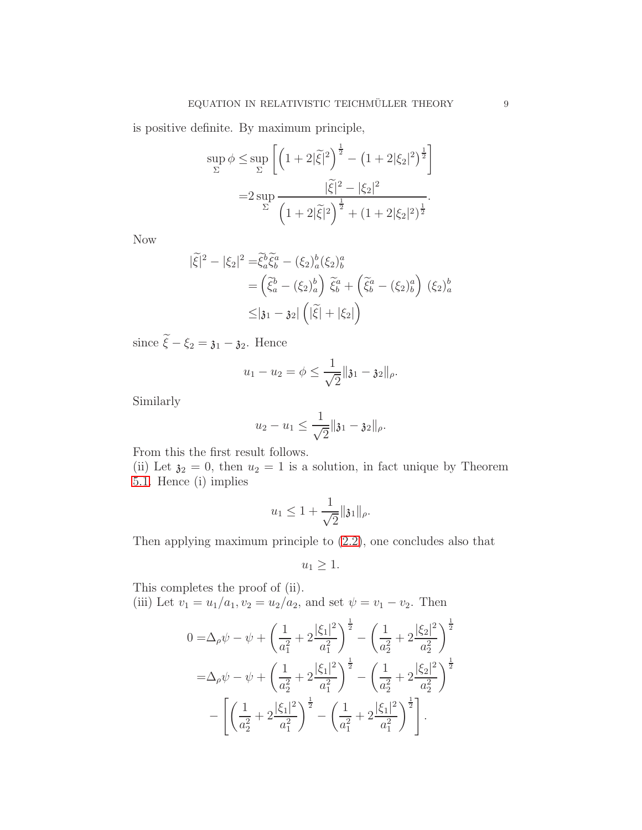is positive definite. By maximum principle,

$$
\sup_{\Sigma} \phi \leq \sup_{\Sigma} \left[ \left( 1 + 2|\tilde{\xi}|^2 \right)^{\frac{1}{2}} - \left( 1 + 2|\xi_2|^2 \right)^{\frac{1}{2}} \right]
$$
  
= 
$$
2 \sup_{\Sigma} \frac{|\tilde{\xi}|^2 - |\xi_2|^2}{\left( 1 + 2|\tilde{\xi}|^2 \right)^{\frac{1}{2}} + \left( 1 + 2|\xi_2|^2 \right)^{\frac{1}{2}}}.
$$

Now

$$
\begin{aligned} |\tilde{\xi}|^2 - |\xi_2|^2 &= \tilde{\xi}_a^b \tilde{\xi}_b^a - (\xi_2)_a^b (\xi_2)_b^a \\ &= \left(\tilde{\xi}_a^b - (\xi_2)_a^b\right) \tilde{\xi}_b^a + \left(\tilde{\xi}_b^a - (\xi_2)_b^a\right) (\xi_2)_a^b \\ &\leq |\mathfrak{z}_1 - \mathfrak{z}_2| \left(|\tilde{\xi}| + |\xi_2|\right) \end{aligned}
$$

since  $\widetilde{\xi} - \xi_2 = \mathfrak{z}_1 - \mathfrak{z}_2$ . Hence

$$
u_1 - u_2 = \phi \leq \frac{1}{\sqrt{2}} ||\mathfrak{z}_1 - \mathfrak{z}_2||_{\rho}.
$$

Similarly

$$
u_2 - u_1 \leq \frac{1}{\sqrt{2}} ||\mathfrak{z}_1 - \mathfrak{z}_2||_{\rho}.
$$

From this the first result follows.

(ii) Let  $\mathfrak{z}_2 = 0$ , then  $u_2 = 1$  is a solution, in fact unique by Theorem [5.1.](#page-17-1) Hence (i) implies

$$
u_1 \leq 1 + \frac{1}{\sqrt{2}} ||\mathfrak{z}_1||_{\rho}.
$$

Then applying maximum principle to [\(2.2\)](#page-2-2), one concludes also that

$$
u_1 \geq 1.
$$

This completes the proof of (ii). (iii) Let  $v_1 = u_1/a_1, v_2 = u_2/a_2$ , and set  $\psi = v_1 - v_2$ . Then

$$
0 = \Delta_{\rho}\psi - \psi + \left(\frac{1}{a_1^2} + 2\frac{|\xi_1|^2}{a_1^2}\right)^{\frac{1}{2}} - \left(\frac{1}{a_2^2} + 2\frac{|\xi_2|^2}{a_2^2}\right)^{\frac{1}{2}}
$$
  

$$
= \Delta_{\rho}\psi - \psi + \left(\frac{1}{a_2^2} + 2\frac{|\xi_1|^2}{a_1^2}\right)^{\frac{1}{2}} - \left(\frac{1}{a_2^2} + 2\frac{|\xi_2|^2}{a_2^2}\right)^{\frac{1}{2}}
$$
  

$$
- \left[\left(\frac{1}{a_2^2} + 2\frac{|\xi_1|^2}{a_1^2}\right)^{\frac{1}{2}} - \left(\frac{1}{a_1^2} + 2\frac{|\xi_1|^2}{a_1^2}\right)^{\frac{1}{2}}\right].
$$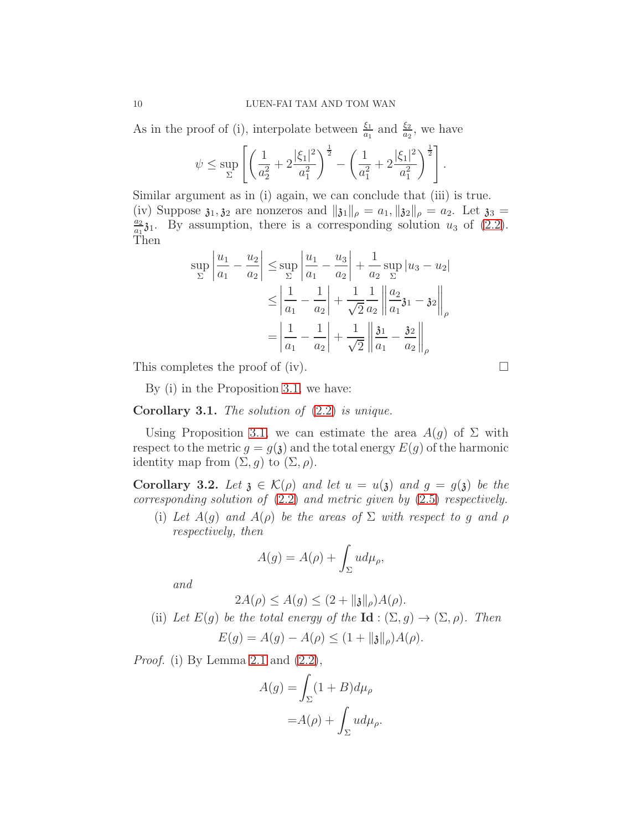As in the proof of (i), interpolate between  $\frac{\xi_1}{a_1}$  and  $\frac{\xi_2}{a_2}$ , we have

$$
\psi \leq \sup_{\Sigma} \left[ \left( \frac{1}{a_2^2} + 2 \frac{|\xi_1|^2}{a_1^2} \right)^{\frac{1}{2}} - \left( \frac{1}{a_1^2} + 2 \frac{|\xi_1|^2}{a_1^2} \right)^{\frac{1}{2}} \right].
$$

Similar argument as in (i) again, we can conclude that (iii) is true. (iv) Suppose  $\mathfrak{z}_1, \mathfrak{z}_2$  are nonzeros and  $\|\mathfrak{z}_1\|_{\rho} = a_1, \|\mathfrak{z}_2\|_{\rho} = a_2$ . Let  $\mathfrak{z}_3 =$  $a_2$  $\frac{a_2}{a_1}$  31. By assumption, there is a corresponding solution  $u_3$  of [\(2.2\)](#page-2-2). Then

$$
\sup_{\Sigma} \left| \frac{u_1}{a_1} - \frac{u_2}{a_2} \right| \le \sup_{\Sigma} \left| \frac{u_1}{a_1} - \frac{u_3}{a_2} \right| + \frac{1}{a_2} \sup_{\Sigma} |u_3 - u_2|
$$
  

$$
\le \left| \frac{1}{a_1} - \frac{1}{a_2} \right| + \frac{1}{\sqrt{2}} \frac{1}{a_2} \left\| \frac{a_2}{a_1} \mathfrak{z}_1 - \mathfrak{z}_2 \right\|_{\rho}
$$
  

$$
= \left| \frac{1}{a_1} - \frac{1}{a_2} \right| + \frac{1}{\sqrt{2}} \left\| \frac{\mathfrak{z}_1}{a_1} - \frac{\mathfrak{z}_2}{a_2} \right\|_{\rho}
$$

This completes the proof of (iv).  $\square$ 

By (i) in the Proposition [3.1,](#page-6-1) we have:

# <span id="page-9-0"></span>Corollary 3.1. The solution of [\(2.2\)](#page-2-2) is unique.

Using Proposition [3.1,](#page-6-1) we can estimate the area  $A(q)$  of  $\Sigma$  with respect to the metric  $g = g(\mathfrak{z})$  and the total energy  $E(g)$  of the harmonic identity map from  $(\Sigma, g)$  to  $(\Sigma, \rho)$ .

<span id="page-9-1"></span>Corollary 3.2. Let  $\mathfrak{z} \in \mathcal{K}(\rho)$  and let  $u = u(\mathfrak{z})$  and  $g = g(\mathfrak{z})$  be the corresponding solution of [\(2.2\)](#page-2-2) and metric given by [\(2.5\)](#page-2-3) respectively.

(i) Let  $A(g)$  and  $A(\rho)$  be the areas of  $\Sigma$  with respect to g and  $\rho$ respectively, then

$$
A(g) = A(\rho) + \int_{\Sigma} u d\mu_{\rho},
$$

and

$$
2A(\rho) \le A(g) \le (2 + \|\mathfrak{z}\|_{\rho})A(\rho).
$$

(ii) Let  $E(g)$  be the total energy of the  $Id : (\Sigma, g) \to (\Sigma, \rho)$ . Then

$$
E(g) = A(g) - A(\rho) \le (1 + \|g\|_{\rho})A(\rho).
$$

*Proof.* (i) By Lemma [2.1](#page-3-0) and  $(2.2)$ ,

$$
A(g) = \int_{\Sigma} (1 + B) d\mu_{\rho}
$$

$$
= A(\rho) + \int_{\Sigma} u d\mu_{\rho}.
$$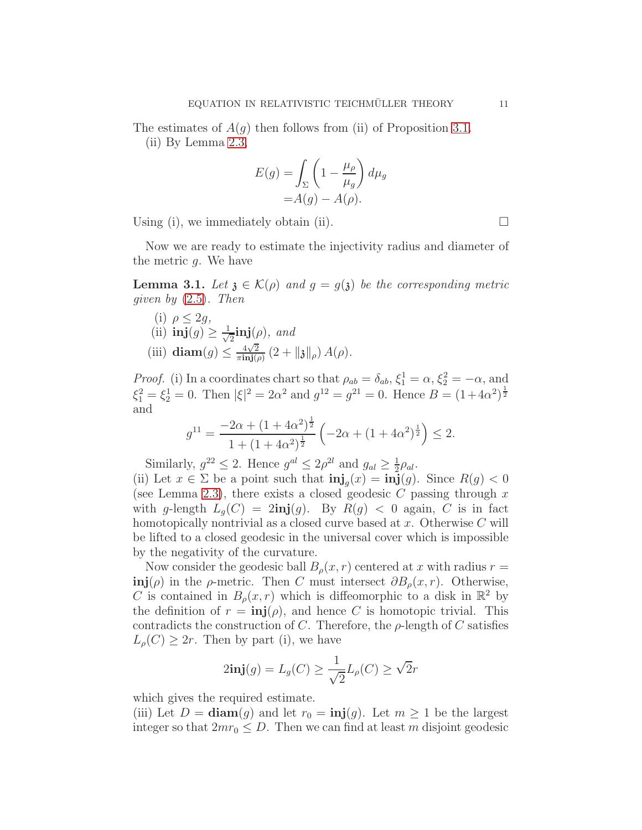The estimates of  $A(g)$  then follows from (ii) of Proposition [3.1.](#page-6-1)

(ii) By Lemma [2.3,](#page-4-0)

$$
E(g) = \int_{\Sigma} \left( 1 - \frac{\mu_{\rho}}{\mu_{g}} \right) d\mu_{g}
$$

$$
= A(g) - A(\rho).
$$

Using (i), we immediately obtain (ii).  $\square$ 

Now we are ready to estimate the injectivity radius and diameter of the metric g. We have

<span id="page-10-0"></span>**Lemma 3.1.** Let  $\mathfrak{z} \in \mathcal{K}(\rho)$  and  $g = g(\mathfrak{z})$  be the corresponding metric given by [\(2.5\)](#page-2-3). Then

(i)  $\rho < 2q$ , (ii)  $\mathbf{inj}(g) \geq \frac{1}{\sqrt{2}}$  $\frac{1}{2}$ inj $(\rho)$ , and (iii) diam $(g) \leq \frac{4\sqrt{2}}{\pi \text{inj}(g)}$  $\frac{4\sqrt{2}}{\pi\text{inj}(\rho)}\left(2+\|\mathfrak{z}\|_{\rho}\right)A(\rho).$ 

*Proof.* (i) In a coordinates chart so that  $\rho_{ab} = \delta_{ab}$ ,  $\xi_1^1 = \alpha$ ,  $\xi_2^2 = -\alpha$ , and  $\xi_1^2 = \xi_2^1 = 0$ . Then  $|\xi|^2 = 2\alpha^2$  and  $g^{12} = g^{21} = 0$ . Hence  $B = (1 + 4\alpha^2)^{\frac{1}{2}}$ and

$$
g^{11} = \frac{-2\alpha + (1 + 4\alpha^2)^{\frac{1}{2}}}{1 + (1 + 4\alpha^2)^{\frac{1}{2}}} \left( -2\alpha + (1 + 4\alpha^2)^{\frac{1}{2}} \right) \le 2.
$$

Similarly,  $g^{22} \leq 2$ . Hence  $g^{al} \leq 2\rho^{2l}$  and  $g_{al} \geq \frac{1}{2}$  $rac{1}{2}\rho_{al}$ .

(ii) Let  $x \in \Sigma$  be a point such that  $\text{inj}_g(x) = \text{inj}(g)$ . Since  $R(g) < 0$ (see Lemma [2.3\)](#page-4-0), there exists a closed geodesic C passing through  $x$ with g-length  $L_q(C) = 2\text{inj}(g)$ . By  $R(g) < 0$  again, C is in fact homotopically nontrivial as a closed curve based at  $x$ . Otherwise  $C$  will be lifted to a closed geodesic in the universal cover which is impossible by the negativity of the curvature.

Now consider the geodesic ball  $B_{\rho}(x, r)$  centered at x with radius  $r =$  $\text{inj}(\rho)$  in the  $\rho$ -metric. Then C must intersect  $\partial B_{\rho}(x,r)$ . Otherwise, C is contained in  $B_{\rho}(x,r)$  which is diffeomorphic to a disk in  $\mathbb{R}^2$  by the definition of  $r = \text{inj}(\rho)$ , and hence C is homotopic trivial. This contradicts the construction of C. Therefore, the  $\rho$ -length of C satisfies  $L_{\rho}(C) \geq 2r$ . Then by part (i), we have

$$
2\mathbf{inj}(g) = L_g(C) \ge \frac{1}{\sqrt{2}}L_\rho(C) \ge \sqrt{2}r
$$

which gives the required estimate.

(iii) Let  $D = \text{diam}(g)$  and let  $r_0 = \text{inj}(g)$ . Let  $m \geq 1$  be the largest integer so that  $2mr_0 \leq D$ . Then we can find at least m disjoint geodesic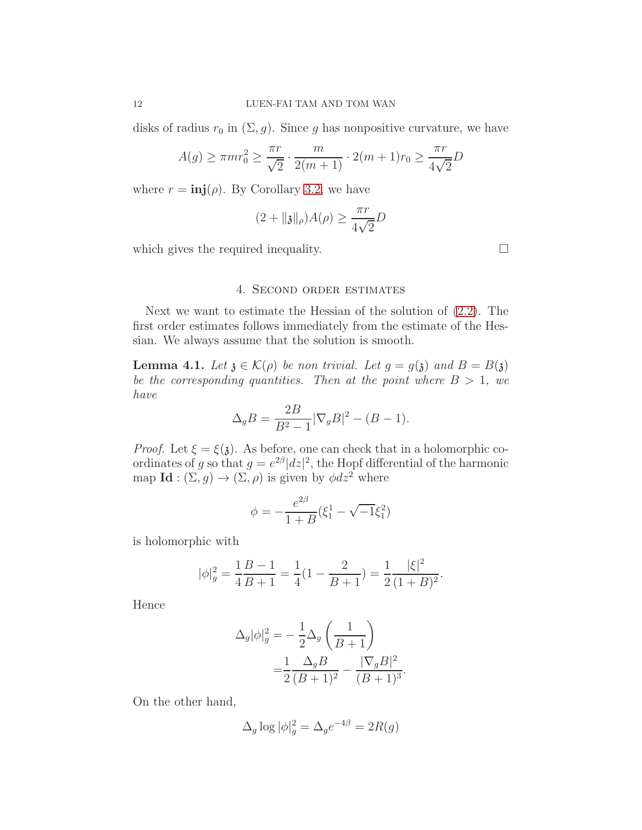disks of radius  $r_0$  in  $(\Sigma, g)$ . Since g has nonpositive curvature, we have

$$
A(g) \ge \pi m r_0^2 \ge \frac{\pi r}{\sqrt{2}} \cdot \frac{m}{2(m+1)} \cdot 2(m+1)r_0 \ge \frac{\pi r}{4\sqrt{2}}D
$$

where  $r = \text{inj}(\rho)$ . By Corollary [3.2,](#page-9-1) we have

$$
(2 + \|\mathfrak{z}\|_{\rho})A(\rho) \ge \frac{\pi r}{4\sqrt{2}}D
$$

<span id="page-11-0"></span>which gives the required inequality.

## 4. Second order estimates

Next we want to estimate the Hessian of the solution of [\(2.2\)](#page-2-2). The first order estimates follows immediately from the estimate of the Hessian. We always assume that the solution is smooth.

<span id="page-11-1"></span>**Lemma 4.1.** Let  $\mathfrak{z} \in \mathcal{K}(\rho)$  be non trivial. Let  $g = g(\mathfrak{z})$  and  $B = B(\mathfrak{z})$ be the corresponding quantities. Then at the point where  $B > 1$ , we have

$$
\Delta_g B = \frac{2B}{B^2 - 1} |\nabla_g B|^2 - (B - 1).
$$

*Proof.* Let  $\xi = \xi(\mathfrak{z})$ . As before, one can check that in a holomorphic coordinates of g so that  $g = e^{2\beta} |dz|^2$ , the Hopf differential of the harmonic map **Id** :  $(\Sigma, g) \to (\Sigma, \rho)$  is given by  $\phi dz^2$  where

$$
\phi = -\frac{e^{2\beta}}{1+B}(\xi_1^1 - \sqrt{-1}\xi_1^2)
$$

is holomorphic with

$$
|\phi|_g^2 = \frac{1}{4}\frac{B-1}{B+1} = \frac{1}{4}(1-\frac{2}{B+1}) = \frac{1}{2}\frac{|\xi|^2}{(1+B)^2}.
$$

Hence

$$
\Delta_g |\phi|_g^2 = -\frac{1}{2} \Delta_g \left( \frac{1}{B+1} \right) \n= \frac{1}{2} \frac{\Delta_g B}{(B+1)^2} - \frac{|\nabla_g B|^2}{(B+1)^3}.
$$

On the other hand,

$$
\Delta_g \log |\phi|_g^2 = \Delta_g e^{-4\beta} = 2R(g)
$$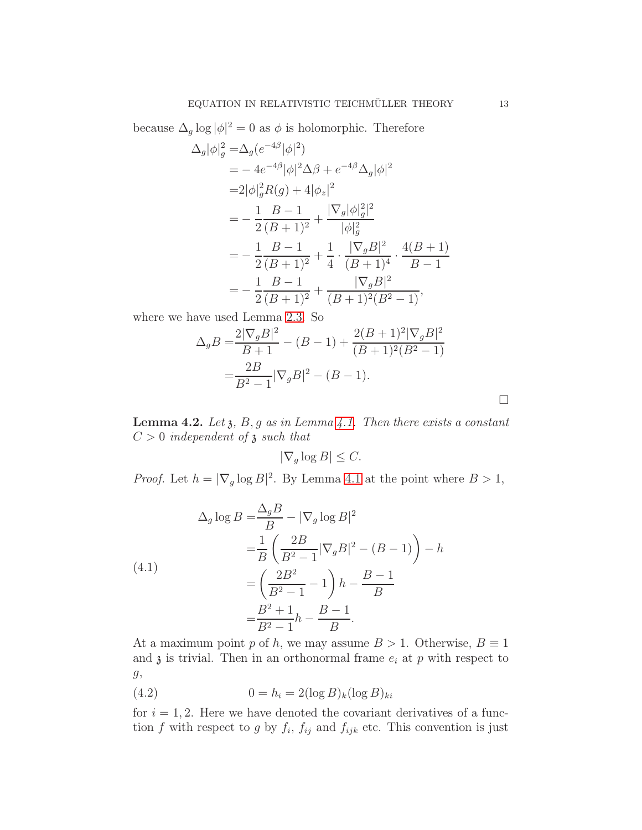because  $\Delta_g \log |\phi|^2 = 0$  as  $\phi$  is holomorphic. Therefore

$$
\Delta_g |\phi|_g^2 = \Delta_g (e^{-4\beta} |\phi|^2)
$$
  
=  $-4e^{-4\beta} |\phi|^2 \Delta \beta + e^{-4\beta} \Delta_g |\phi|^2$   
=  $2|\phi|_g^2 R(g) + 4|\phi_z|^2$   
=  $-\frac{1}{2} \frac{B-1}{(B+1)^2} + \frac{|\nabla_g |\phi|_g^2|^2}{|\phi|_g^2}$   
=  $-\frac{1}{2} \frac{B-1}{(B+1)^2} + \frac{1}{4} \cdot \frac{|\nabla_g B|^2}{(B+1)^4} \cdot \frac{4(B+1)}{B-1}$   
=  $-\frac{1}{2} \frac{B-1}{(B+1)^2} + \frac{|\nabla_g B|^2}{(B+1)^2 (B^2-1)},$ 

where we have used Lemma [2.3.](#page-4-0) So

$$
\Delta_g B = \frac{2|\nabla_g B|^2}{B+1} - (B-1) + \frac{2(B+1)^2|\nabla_g B|^2}{(B+1)^2(B^2-1)}
$$

$$
= \frac{2B}{B^2-1}|\nabla_g B|^2 - (B-1).
$$

<span id="page-12-0"></span>**Lemma 4.2.** Let  $\mathfrak{z}$ ,  $B$ ,  $g$  as in Lemma [4.1.](#page-11-1) Then there exists a constant  $C > 0$  independent of  $\mathfrak z$  such that

$$
|\nabla_g \log B| \le C.
$$

*Proof.* Let  $h = |\nabla_g \log B|^2$ . By Lemma [4.1](#page-11-1) at the point where  $B > 1$ ,

(4.1)  
\n
$$
\Delta_g \log B = \frac{\Delta_g B}{B} - |\nabla_g \log B|^2
$$
\n
$$
= \frac{1}{B} \left( \frac{2B}{B^2 - 1} |\nabla_g B|^2 - (B - 1) \right) - h
$$
\n
$$
= \left( \frac{2B^2}{B^2 - 1} - 1 \right) h - \frac{B - 1}{B}
$$
\n
$$
= \frac{B^2 + 1}{B^2 - 1} h - \frac{B - 1}{B}.
$$

At a maximum point p of h, we may assume  $B > 1$ . Otherwise,  $B \equiv 1$ and  $\mathfrak z$  is trivial. Then in an orthonormal frame  $e_i$  at  $p$  with respect to g,

(4.2) 
$$
0 = h_i = 2(\log B)_k (\log B)_{ki}
$$

for  $i = 1, 2$ . Here we have denoted the covariant derivatives of a function f with respect to g by  $f_i$ ,  $f_{ij}$  and  $f_{ijk}$  etc. This convention is just

 $\Box$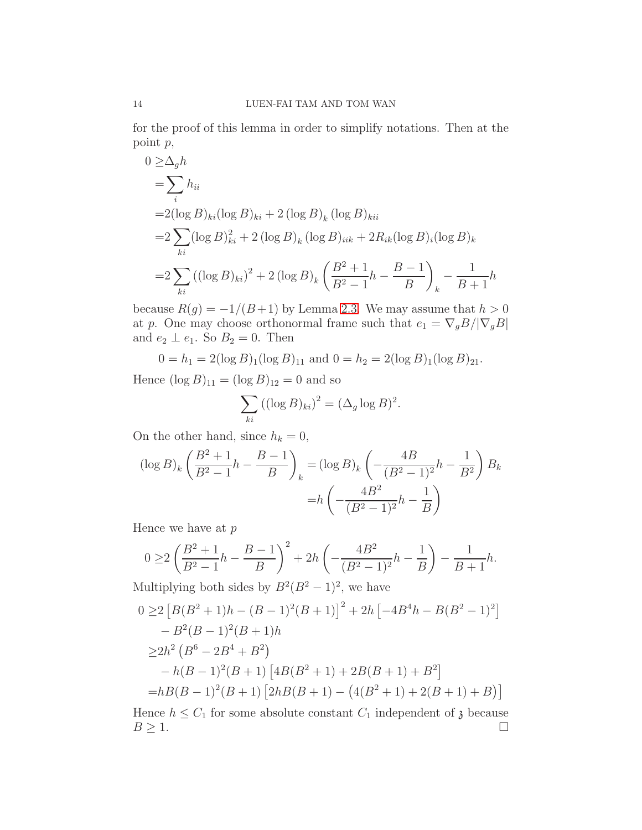for the proof of this lemma in order to simplify notations. Then at the point p,

$$
0 \geq \Delta_g h
$$
  
=  $\sum_i h_{ii}$   
=  $2(\log B)_{ki} (\log B)_{ki} + 2 (\log B)_k (\log B)_{kii}$   
=  $2 \sum_{ki} (\log B)_{ki}^2 + 2 (\log B)_k (\log B)_{iik} + 2R_{ik} (\log B)_i (\log B)_k$   
=  $2 \sum_{ki} ((\log B)_{ki})^2 + 2 (\log B)_k \left( \frac{B^2 + 1}{B^2 - 1} h - \frac{B - 1}{B} \right)_k - \frac{1}{B + 1} h$ 

because  $R(g) = -1/(B+1)$  by Lemma [2.3.](#page-4-0) We may assume that  $h > 0$ at p. One may choose orthonormal frame such that  $e_1 = \nabla_g B / |\nabla_g B|$ and  $e_2 \perp e_1$ . So  $B_2 = 0$ . Then

 $0 = h_1 = 2(\log B)_1(\log B)_{11}$  and  $0 = h_2 = 2(\log B)_1(\log B)_{21}$ .

Hence  $(\log B)_{11} = (\log B)_{12} = 0$  and so

$$
\sum_{ki} ((\log B)_{ki})^2 = (\Delta_g \log B)^2.
$$

On the other hand, since  $h_k = 0$ ,

$$
(\log B)_k \left(\frac{B^2 + 1}{B^2 - 1}h - \frac{B - 1}{B}\right)_k = (\log B)_k \left(-\frac{4B}{(B^2 - 1)^2}h - \frac{1}{B^2}\right)B_k
$$

$$
= h \left(-\frac{4B^2}{(B^2 - 1)^2}h - \frac{1}{B}\right)
$$

Hence we have at  $p$ 

$$
0 \ge 2\left(\frac{B^2+1}{B^2-1}h - \frac{B-1}{B}\right)^2 + 2h\left(-\frac{4B^2}{(B^2-1)^2}h - \frac{1}{B}\right) - \frac{1}{B+1}h.
$$

Multiplying both sides by  $B^2(B^2-1)^2$ , we have

$$
0 \ge 2 [B(B^2 + 1)h - (B - 1)^2(B + 1)]^2 + 2h [-4B^4h - B(B^2 - 1)^2]
$$
  
\n
$$
- B^2(B - 1)^2(B + 1)h
$$
  
\n
$$
\ge 2h^2 (B^6 - 2B^4 + B^2)
$$
  
\n
$$
- h(B - 1)^2(B + 1) [4B(B^2 + 1) + 2B(B + 1) + B^2]
$$
  
\n
$$
= hB(B - 1)^2(B + 1) [2hB(B + 1) - (4(B^2 + 1) + 2(B + 1) + B)]
$$

Hence  $h \leq C_1$  for some absolute constant  $C_1$  independent of  $\mathfrak{z}$  because  $B \geq 1$ .  $B \geq 1.$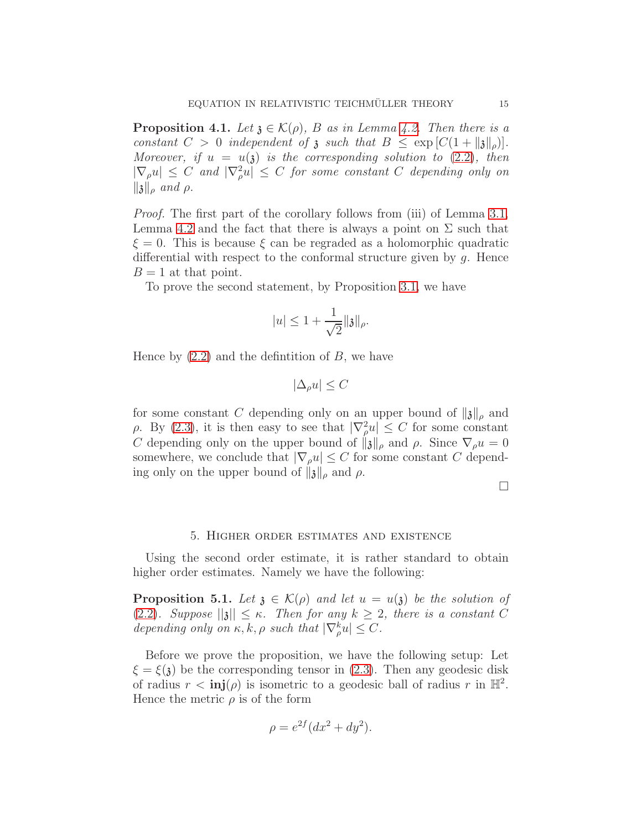<span id="page-14-2"></span>**Proposition 4.1.** Let  $\chi \in \mathcal{K}(\rho)$ , B as in Lemma [4.2.](#page-12-0) Then there is a constant  $C > 0$  independent of  $\mathfrak z$  such that  $B \leq \exp\left[ C(1 + ||\mathfrak z||_{\rho}) \right]$ . Moreover, if  $u = u(\mathfrak{z})$  is the corresponding solution to  $(2.2)$ , then  $|\nabla_{\rho} u| \leq C$  and  $|\nabla_{\rho}^2 u| \leq C$  for some constant C depending only on  $\|\mathfrak{z}\|_{\rho}$  and  $\rho$ .

Proof. The first part of the corollary follows from (iii) of Lemma [3.1,](#page-10-0) Lemma [4.2](#page-12-0) and the fact that there is always a point on  $\Sigma$  such that  $\xi = 0$ . This is because  $\xi$  can be regraded as a holomorphic quadratic differential with respect to the conformal structure given by  $g$ . Hence  $B = 1$  at that point.

To prove the second statement, by Proposition [3.1,](#page-6-1) we have

$$
|u| \le 1 + \frac{1}{\sqrt{2}} ||\mathfrak{z}||_{\rho}.
$$

Hence by  $(2.2)$  and the definition of B, we have

$$
|\Delta_{\rho}u| \leq C
$$

for some constant C depending only on an upper bound of  $\|\mathfrak{z}\|_{\rho}$  and  $ρ$ . By [\(2.3\)](#page-2-1), it is then easy to see that  $|∇<sup>2</sup><sub>ρ</sub>u| ≤ C$  for some constant C depending only on the upper bound of  $\|\mathbf{x}\|_{\rho}$  and  $\rho$ . Since  $\nabla_{\rho}u = 0$ somewhere, we conclude that  $|\nabla_{\rho}u| \leq C$  for some constant C depending only on the upper bound of  $\| \mathfrak{z} \|_{\rho}$  and  $\rho$ .

 $\Box$ 

#### 5. Higher order estimates and existence

<span id="page-14-0"></span>Using the second order estimate, it is rather standard to obtain higher order estimates. Namely we have the following:

<span id="page-14-1"></span>**Proposition 5.1.** Let  $\mathfrak{z} \in \mathcal{K}(\rho)$  and let  $u = u(\mathfrak{z})$  be the solution of [\(2.2\)](#page-2-2). Suppose  $||\mathbf{x}|| \leq \kappa$ . Then for any  $k \geq 2$ , there is a constant C depending only on  $\kappa, k, \rho$  such that  $|\nabla_{\rho}^k u| \leq C$ .

Before we prove the proposition, we have the following setup: Let  $\xi = \xi(\mathbf{\hat{i}})$  be the corresponding tensor in [\(2.3\)](#page-2-1). Then any geodesic disk of radius  $r < \text{inj}(\rho)$  is isometric to a geodesic ball of radius r in  $\mathbb{H}^2$ . Hence the metric  $\rho$  is of the form

$$
\rho = e^{2f} (dx^2 + dy^2).
$$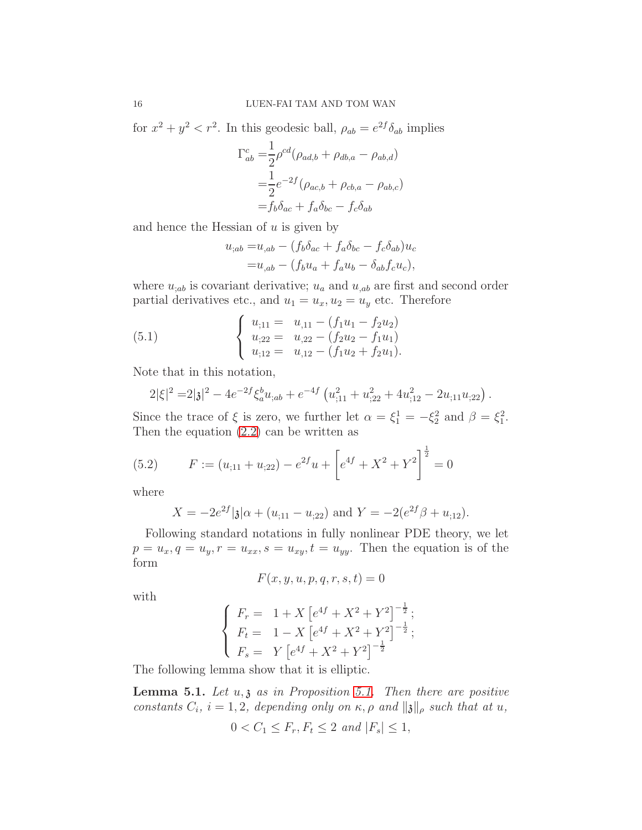for  $x^2 + y^2 < r^2$ . In this geodesic ball,  $\rho_{ab} = e^{2f} \delta_{ab}$  implies

$$
\Gamma_{ab}^c = \frac{1}{2} \rho^{cd} (\rho_{ad,b} + \rho_{db,a} - \rho_{ab,d})
$$
  
= 
$$
\frac{1}{2} e^{-2f} (\rho_{ac,b} + \rho_{cb,a} - \rho_{ab,c})
$$
  
= 
$$
f_b \delta_{ac} + f_a \delta_{bc} - f_c \delta_{ab}
$$

and hence the Hessian of  $u$  is given by

$$
u_{;ab} = u_{,ab} - (f_b \delta_{ac} + f_a \delta_{bc} - f_c \delta_{ab}) u_c
$$
  

$$
= u_{,ab} - (f_b u_a + f_a u_b - \delta_{ab} f_c u_c),
$$

where  $u_{;ab}$  is covariant derivative;  $u_a$  and  $u_{;ab}$  are first and second order partial derivatives etc., and  $u_1 = u_x, u_2 = u_y$  etc. Therefore

(5.1) 
$$
\begin{cases} u_{;11} = u_{,11} - (f_1u_1 - f_2u_2) \\ u_{;22} = u_{,22} - (f_2u_2 - f_1u_1) \\ u_{;12} = u_{,12} - (f_1u_2 + f_2u_1). \end{cases}
$$

Note that in this notation,

$$
2|\xi|^2 = 2|\mathfrak{z}|^2 - 4e^{-2f} \xi_a^b u_{;ab} + e^{-4f} \left( u_{;11}^2 + u_{;22}^2 + 4u_{;12}^2 - 2u_{;11}u_{;22} \right).
$$

Since the trace of  $\xi$  is zero, we further let  $\alpha = \xi_1^1 = -\xi_2^2$  and  $\beta = \xi_1^2$ . Then the equation  $(2.2)$  can be written as

(5.2) 
$$
F := (u_{;11} + u_{;22}) - e^{2f}u + \left[e^{4f} + X^2 + Y^2\right]^{\frac{1}{2}} = 0
$$

where

<span id="page-15-1"></span>
$$
X = -2e^{2f}|\mathfrak{z}|\alpha + (u_{;11} - u_{;22}) \text{ and } Y = -2(e^{2f}\beta + u_{;12}).
$$

Following standard notations in fully nonlinear PDE theory, we let  $p = u_x, q = u_y, r = u_{xx}, s = u_{xy}, t = u_{yy}.$  Then the equation is of the form

$$
F(x, y, u, p, q, r, s, t) = 0
$$

with

$$
\begin{cases}\nF_r = 1 + X \left[ e^{4f} + X^2 + Y^2 \right]^{-\frac{1}{2}}; \\
F_t = 1 - X \left[ e^{4f} + X^2 + Y^2 \right]^{-\frac{1}{2}}; \\
F_s = Y \left[ e^{4f} + X^2 + Y^2 \right]^{-\frac{1}{2}}\n\end{cases}
$$

The following lemma show that it is elliptic.

<span id="page-15-0"></span>**Lemma [5.1.](#page-14-1)** Let  $u, \mathfrak{z}$  as in Proposition 5.1. Then there are positive constants  $C_i$ ,  $i = 1, 2$ , depending only on  $\kappa$ ,  $\rho$  and  $\|\mathfrak{z}\|_{\rho}$  such that at  $u$ ,

$$
0 < C_1 \leq F_r, F_t \leq 2 \text{ and } |F_s| \leq 1,
$$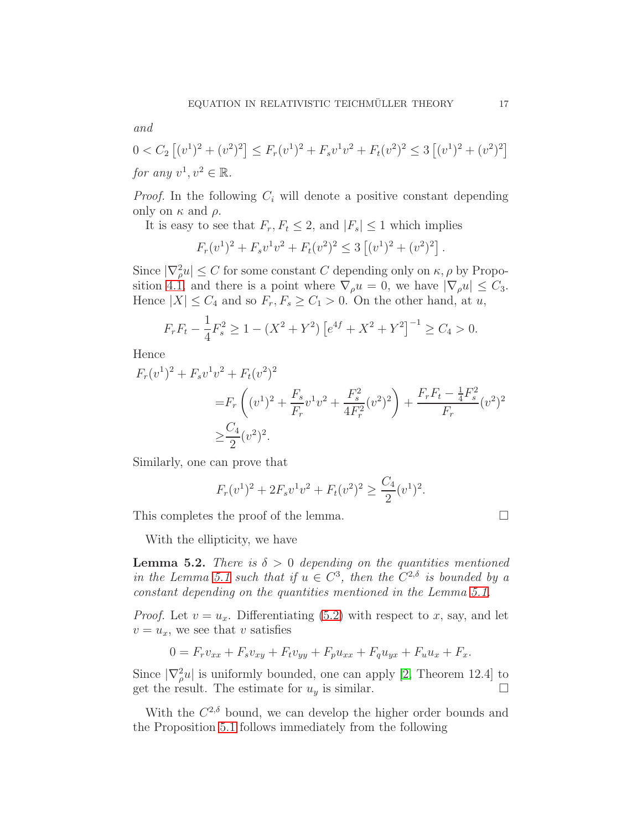and

$$
0 < C_2 \left[ (v^1)^2 + (v^2)^2 \right] \le F_r(v^1)^2 + F_s v^1 v^2 + F_t(v^2)^2 \le 3 \left[ (v^1)^2 + (v^2)^2 \right]
$$
\nfor any  $v^1, v^2 \in \mathbb{R}$ .

*Proof.* In the following  $C_i$  will denote a positive constant depending only on  $\kappa$  and  $\rho$ .

It is easy to see that  $F_r, F_t \leq 2$ , and  $|F_s| \leq 1$  which implies

$$
F_r(v^1)^2 + F_s v^1 v^2 + F_t(v^2)^2 \le 3 [(v^1)^2 + (v^2)^2].
$$

Since  $|\nabla_{\rho}^2 u| \leq C$  for some constant C depending only on  $\kappa, \rho$  by Propo-sition [4.1,](#page-14-2) and there is a point where  $\nabla_{\rho}u = 0$ , we have  $|\nabla_{\rho}u| \leq C_3$ . Hence  $|X| \leq C_4$  and so  $F_r, F_s \geq C_1 > 0$ . On the other hand, at u,

$$
F_r F_t - \frac{1}{4} F_s^2 \ge 1 - (X^2 + Y^2) \left[ e^{4f} + X^2 + Y^2 \right]^{-1} \ge C_4 > 0.
$$

Hence

$$
F_r(v^1)^2 + F_s v^1 v^2 + F_t(v^2)^2
$$
  
=  $F_r \left( (v^1)^2 + \frac{F_s}{F_r} v^1 v^2 + \frac{F_s^2}{4F_r^2} (v^2)^2 \right) + \frac{F_r F_t - \frac{1}{4} F_s^2}{F_r} (v^2)^2$   
 $\geq \frac{C_4}{2} (v^2)^2.$ 

Similarly, one can prove that

$$
F_r(v^1)^2 + 2F_s v^1 v^2 + F_t(v^2)^2 \ge \frac{C_4}{2} (v^1)^2.
$$

This completes the proof of the lemma.

With the ellipticity, we have

**Lemma 5.2.** There is  $\delta > 0$  depending on the quantities mentioned in the Lemma [5.1](#page-15-0) such that if  $u \in C^3$ , then the  $C^{2,\delta}$  is bounded by a constant depending on the quantities mentioned in the Lemma [5.1.](#page-15-0)

*Proof.* Let  $v = u_x$ . Differentiating [\(5.2\)](#page-15-1) with respect to x, say, and let  $v = u_x$ , we see that v satisfies

$$
0 = F_r v_{xx} + F_s v_{xy} + F_t v_{yy} + F_p u_{xx} + F_q u_{yx} + F_u u_x + F_x.
$$

Since  $|\nabla^2_\rho u|$  is uniformly bounded, one can apply [\[2,](#page-25-4) Theorem 12.4] to get the result. The estimate for  $u_y$  is similar.

With the  $C^{2,\delta}$  bound, we can develop the higher order bounds and the Proposition [5.1](#page-14-1) follows immediately from the following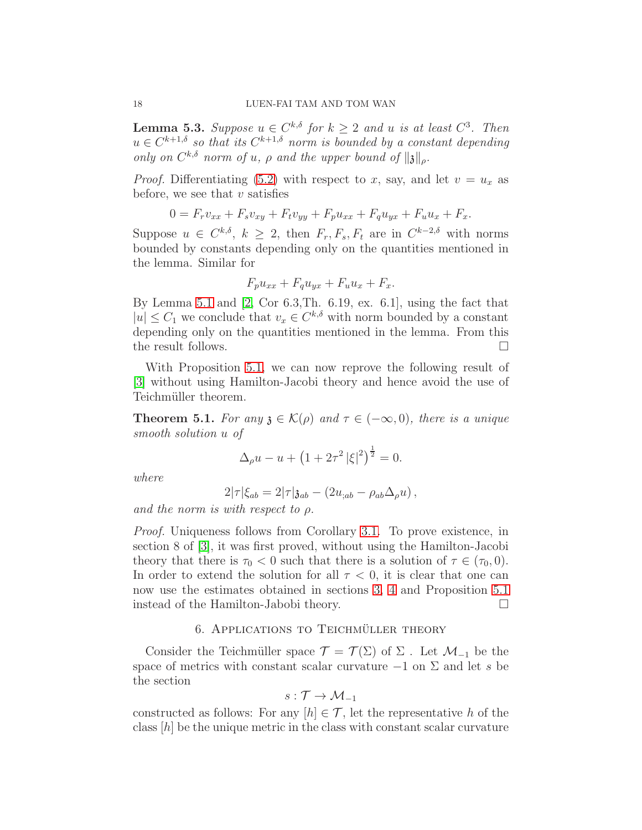**Lemma 5.3.** Suppose  $u \in C^{k,\delta}$  for  $k \geq 2$  and u is at least  $C^3$ . Then  $u \in C^{k+1,\delta}$  so that its  $C^{k+1,\delta}$  norm is bounded by a constant depending only on  $C^{k,\delta}$  norm of u,  $\rho$  and the upper bound of  $\|\mathfrak{z}\|_{\rho}$ .

*Proof.* Differentiating [\(5.2\)](#page-15-1) with respect to x, say, and let  $v = u_x$  as before, we see that  $v$  satisfies

$$
0 = F_r v_{xx} + F_s v_{xy} + F_t v_{yy} + F_p u_{xx} + F_q u_{yx} + F_u u_x + F_x.
$$

Suppose  $u \in C^{k,\delta}, k \geq 2$ , then  $F_r, F_s, F_t$  are in  $C^{k-2,\delta}$  with norms bounded by constants depending only on the quantities mentioned in the lemma. Similar for

$$
F_p u_{xx} + F_q u_{yx} + F_u u_x + F_x.
$$

By Lemma [5.1](#page-15-0) and [\[2,](#page-25-4) Cor 6.3,Th. 6.19, ex. 6.1], using the fact that  $|u| \leq C_1$  we conclude that  $v_x \in C^{k,\delta}$  with norm bounded by a constant depending only on the quantities mentioned in the lemma. From this the result follows.

With Proposition [5.1,](#page-14-1) we can now reprove the following result of [\[3\]](#page-25-0) without using Hamilton-Jacobi theory and hence avoid the use of Teichmüller theorem.

<span id="page-17-1"></span>**Theorem 5.1.** For any  $\chi \in \mathcal{K}(\rho)$  and  $\tau \in (-\infty, 0)$ , there is a unique smooth solution u of

$$
\Delta_{\rho}u - u + \left(1 + 2\tau^2 |\xi|^2\right)^{\frac{1}{2}} = 0.
$$

where

$$
2|\tau|\xi_{ab}=2|\tau|\mathfrak{z}_{ab}-(2u_{;ab}-\rho_{ab}\Delta_\rho u),
$$

and the norm is with respect to  $\rho$ .

Proof. Uniqueness follows from Corollary [3.1.](#page-9-0) To prove existence, in section 8 of [\[3\]](#page-25-0), it was first proved, without using the Hamilton-Jacobi theory that there is  $\tau_0 < 0$  such that there is a solution of  $\tau \in (\tau_0, 0)$ . In order to extend the solution for all  $\tau < 0$ , it is clear that one can now use the estimates obtained in sections [3,](#page-6-0) [4](#page-11-0) and Proposition [5.1](#page-14-1) instead of the Hamilton-Jabobi theory.

# 6. APPLICATIONS TO TEICHMÜLLER THEORY

<span id="page-17-0"></span>Consider the Teichmüller space  $\mathcal{T} = \mathcal{T}(\Sigma)$  of  $\Sigma$ . Let  $\mathcal{M}_{-1}$  be the space of metrics with constant scalar curvature  $-1$  on  $\Sigma$  and let s be the section

$$
s:\mathcal{T}\to\mathcal{M}_{-1}
$$

constructed as follows: For any  $[h] \in \mathcal{T}$ , let the representative h of the class  $[h]$  be the unique metric in the class with constant scalar curvature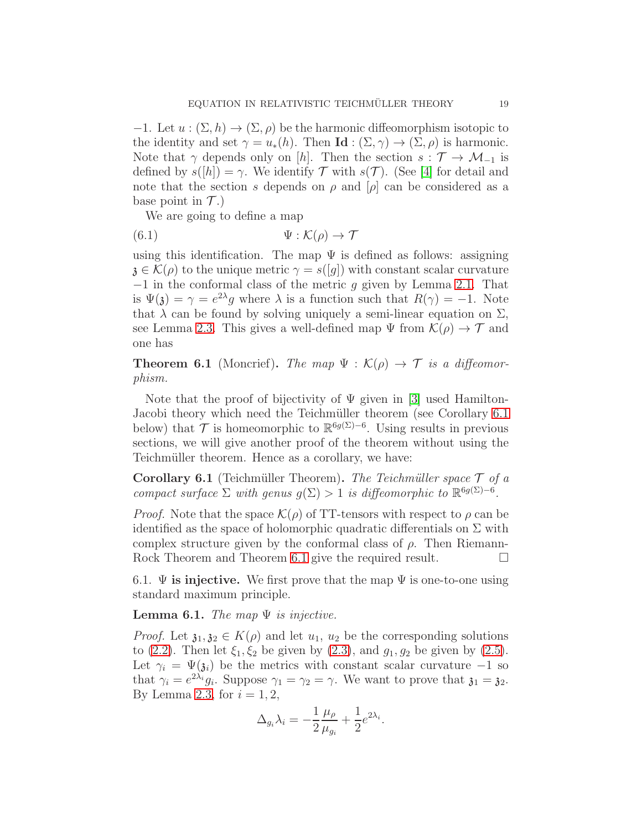−1. Let  $u : (\Sigma, h) \to (\Sigma, \rho)$  be the harmonic diffeomorphism isotopic to the identity and set  $\gamma = u_*(h)$ . Then **Id** :  $(\Sigma, \gamma) \to (\Sigma, \rho)$  is harmonic. Note that  $\gamma$  depends only on [h]. Then the section  $s : \mathcal{T} \to \mathcal{M}_{-1}$  is defined by  $s([h]) = \gamma$ . We identify  $\mathcal T$  with  $s(\mathcal T)$ . (See [\[4\]](#page-25-5) for detail and note that the section s depends on  $\rho$  and  $[\rho]$  can be considered as a base point in  $\mathcal{T}$ .)

We are going to define a map

(6.1) 
$$
\Psi : \mathcal{K}(\rho) \to \mathcal{T}
$$

using this identification. The map  $\Psi$  is defined as follows: assigning  $\mathfrak{z} \in \mathcal{K}(\rho)$  to the unique metric  $\gamma = s([q])$  with constant scalar curvature −1 in the conformal class of the metric g given by Lemma [2.1.](#page-3-0) That is  $\Psi(\mathfrak{z}) = \gamma = e^{2\lambda}g$  where  $\lambda$  is a function such that  $R(\gamma) = -1$ . Note that  $\lambda$  can be found by solving uniquely a semi-linear equation on  $\Sigma$ , see Lemma [2.3.](#page-4-0) This gives a well-defined map  $\Psi$  from  $\mathcal{K}(\rho) \to \mathcal{T}$  and one has

<span id="page-18-1"></span>**Theorem 6.1** (Moncrief). The map  $\Psi : \mathcal{K}(\rho) \to \mathcal{T}$  is a diffeomorphism.

Note that the proof of bijectivity of  $\Psi$  given in [\[3\]](#page-25-0) used Hamilton-Jacobi theory which need the Teichmüller theorem (see Corollary [6.1](#page-18-0)) below) that  $\mathcal T$  is homeomorphic to  $\mathbb{R}^{6g(\Sigma)-6}$ . Using results in previous sections, we will give another proof of the theorem without using the Teichmüller theorem. Hence as a corollary, we have:

<span id="page-18-0"></span>Corollary 6.1 (Teichmüller Theorem). The Teichmüller space  $\mathcal T$  of a compact surface  $\Sigma$  with genus  $g(\Sigma) > 1$  is diffeomorphic to  $\mathbb{R}^{6g(\Sigma)-6}$ .

*Proof.* Note that the space  $\mathcal{K}(\rho)$  of TT-tensors with respect to  $\rho$  can be identified as the space of holomorphic quadratic differentials on  $\Sigma$  with complex structure given by the conformal class of  $\rho$ . Then Riemann-Rock Theorem and Theorem [6.1](#page-18-1) give the required result.

6.1.  $\Psi$  is injective. We first prove that the map  $\Psi$  is one-to-one using standard maximum principle.

<span id="page-18-2"></span>**Lemma 6.1.** The map  $\Psi$  is injective.

*Proof.* Let  $\mathfrak{z}_1, \mathfrak{z}_2 \in K(\rho)$  and let  $u_1, u_2$  be the corresponding solutions to [\(2.2\)](#page-2-2). Then let  $\xi_1, \xi_2$  be given by [\(2.3\)](#page-2-1), and  $g_1, g_2$  be given by [\(2.5\)](#page-2-3). Let  $\gamma_i = \Psi(\mathfrak{z}_i)$  be the metrics with constant scalar curvature -1 so that  $\gamma_i = e^{2\lambda_i} g_i$ . Suppose  $\gamma_1 = \gamma_2 = \gamma$ . We want to prove that  $\mathfrak{z}_1 = \mathfrak{z}_2$ . By Lemma [2.3,](#page-4-0) for  $i = 1, 2$ ,

$$
\Delta_{g_i}\lambda_i = -\frac{1}{2}\frac{\mu_\rho}{\mu_{g_i}} + \frac{1}{2}e^{2\lambda_i}.
$$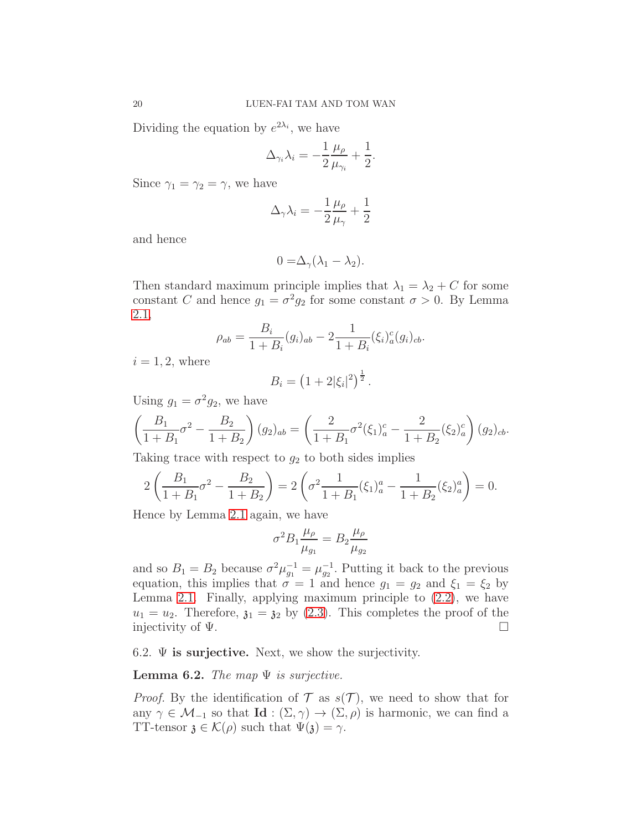Dividing the equation by  $e^{2\lambda_i}$ , we have

$$
\Delta_{\gamma_i}\lambda_i = -\frac{1}{2}\frac{\mu_\rho}{\mu_{\gamma_i}} + \frac{1}{2}.
$$

Since  $\gamma_1 = \gamma_2 = \gamma$ , we have

$$
\Delta_{\gamma}\lambda_i = -\frac{1}{2}\frac{\mu_{\rho}}{\mu_{\gamma}} + \frac{1}{2}
$$

and hence

$$
0 = \Delta_{\gamma}(\lambda_1 - \lambda_2).
$$

Then standard maximum principle implies that  $\lambda_1 = \lambda_2 + C$  for some constant C and hence  $g_1 = \sigma^2 g_2$  for some constant  $\sigma > 0$ . By Lemma [2.1,](#page-3-0)

$$
\rho_{ab} = \frac{B_i}{1 + B_i} (g_i)_{ab} - 2 \frac{1}{1 + B_i} (\xi_i)^c_a (g_i)_{cb}.
$$

 $i = 1, 2$ , where

$$
B_i = \left(1 + 2|\xi_i|^2\right)^{\frac{1}{2}}.
$$

Using  $g_1 = \sigma^2 g_2$ , we have

$$
\left(\frac{B_1}{1+B_1}\sigma^2 - \frac{B_2}{1+B_2}\right)(g_2)_{ab} = \left(\frac{2}{1+B_1}\sigma^2(\xi_1)_a^c - \frac{2}{1+B_2}(\xi_2)_a^c\right)(g_2)_{cb}.
$$

Taking trace with respect to  $g_2$  to both sides implies

$$
2\left(\frac{B_1}{1+B_1}\sigma^2 - \frac{B_2}{1+B_2}\right) = 2\left(\sigma^2 \frac{1}{1+B_1}(\xi_1)_a^a - \frac{1}{1+B_2}(\xi_2)_a^a\right) = 0.
$$

Hence by Lemma [2.1](#page-3-0) again, we have

$$
\sigma^2 B_1 \frac{\mu_\rho}{\mu_{g_1}} = B_2 \frac{\mu_\rho}{\mu_{g_2}}
$$

and so  $B_1 = B_2$  because  $\sigma^2 \mu_{g_1}^{-1} = \mu_{g_2}^{-1}$ . Putting it back to the previous equation, this implies that  $\sigma = 1$  and hence  $g_1 = g_2$  and  $\xi_1 = \xi_2$  by Lemma [2.1.](#page-3-0) Finally, applying maximum principle to  $(2.2)$ , we have  $u_1 = u_2$ . Therefore,  $\mathfrak{z}_1 = \mathfrak{z}_2$  by [\(2.3\)](#page-2-1). This completes the proof of the injectivity of  $\Psi$ .

6.2.  $\Psi$  is surjective. Next, we show the surjectivity.

<span id="page-19-0"></span>**Lemma 6.2.** The map  $\Psi$  is surjective.

*Proof.* By the identification of  $\mathcal T$  as  $s(\mathcal T)$ , we need to show that for any  $\gamma \in \mathcal{M}_{-1}$  so that  $\text{Id}: (\Sigma, \gamma) \to (\Sigma, \rho)$  is harmonic, we can find a TT-tensor  $\mathfrak{z} \in \mathcal{K}(\rho)$  such that  $\Psi(\mathfrak{z}) = \gamma$ .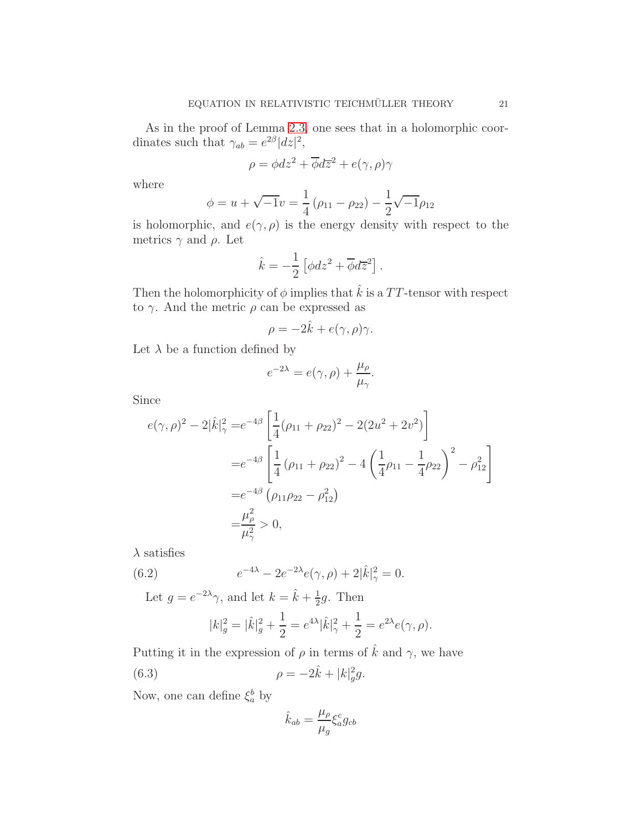As in the proof of Lemma [2.3,](#page-4-0) one sees that in a holomorphic coordinates such that  $\gamma_{ab} = e^{2\beta} |dz|^2$ ,

$$
\rho = \phi dz^2 + \overline{\phi}d\overline{z}^2 + e(\gamma, \rho)\gamma
$$

where

$$
\phi = u + \sqrt{-1}v = \frac{1}{4}(\rho_{11} - \rho_{22}) - \frac{1}{2}\sqrt{-1}\rho_{12}
$$

is holomorphic, and  $e(\gamma, \rho)$  is the energy density with respect to the metrics  $\gamma$  and  $\rho$ . Let

$$
\hat{k} = -\frac{1}{2} \left[ \phi dz^2 + \overline{\phi} d\overline{z}^2 \right].
$$

Then the holomorphicity of  $\phi$  implies that  $\hat{k}$  is a TT-tensor with respect to  $\gamma$ . And the metric  $\rho$  can be expressed as

$$
\rho = -2\hat{k} + e(\gamma, \rho)\gamma.
$$

Let  $\lambda$  be a function defined by

$$
e^{-2\lambda} = e(\gamma, \rho) + \frac{\mu_{\rho}}{\mu_{\gamma}}.
$$

Since

$$
e(\gamma, \rho)^2 - 2|\hat{k}|_{\gamma}^2 = e^{-4\beta} \left[ \frac{1}{4} (\rho_{11} + \rho_{22})^2 - 2(2u^2 + 2v^2) \right]
$$
  
=  $e^{-4\beta} \left[ \frac{1}{4} (\rho_{11} + \rho_{22})^2 - 4 \left( \frac{1}{4} \rho_{11} - \frac{1}{4} \rho_{22} \right)^2 - \rho_{12}^2 \right]$   
=  $e^{-4\beta} (\rho_{11}\rho_{22} - \rho_{12}^2)$   
=  $\frac{\mu_{\rho}^2}{\mu_{\gamma}^2} > 0$ ,

 $\lambda$  satisfies

(6.2) 
$$
e^{-4\lambda} - 2e^{-2\lambda}e(\gamma,\rho) + 2|\hat{k}|_{\gamma}^{2} = 0.
$$

Let  $g = e^{-2\lambda}\gamma$ , and let  $k = \hat{k} + \frac{1}{2}$  $\frac{1}{2}g$ . Then

$$
|k|_g^2 = |\hat{k}|_g^2 + \frac{1}{2} = e^{4\lambda} |\hat{k}|_{\gamma}^2 + \frac{1}{2} = e^{2\lambda} e(\gamma, \rho).
$$

Putting it in the expression of  $\rho$  in terms of  $\hat{k}$  and  $\gamma$ , we have

(6.3) 
$$
\rho = -2\hat{k} + |k|_g^2 g.
$$

Now, one can define  $\xi_a^b$  by

<span id="page-20-0"></span>
$$
\hat{k}_{ab} = \frac{\mu_{\rho}}{\mu_{g}} \xi_{a}^{c} g_{cb}
$$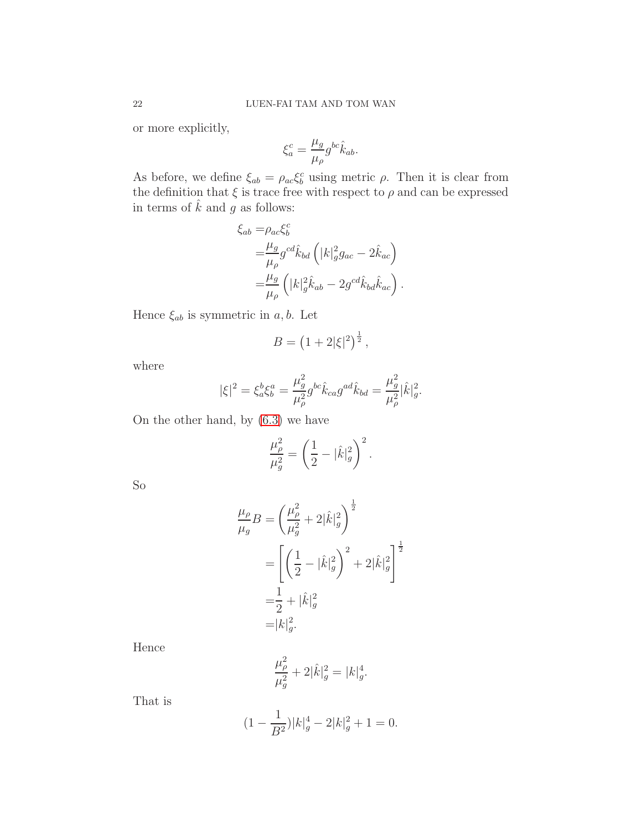or more explicitly,

$$
\xi_a^c = \frac{\mu_g}{\mu_\rho} g^{bc} \hat{k}_{ab}.
$$

As before, we define  $\xi_{ab} = \rho_{ac} \xi_b^c$  using metric  $\rho$ . Then it is clear from the definition that  $\xi$  is trace free with respect to<br>  $\rho$  and can be expressed in terms of  $\hat{k}$  and g as follows:

$$
\xi_{ab} = \rho_{ac}\xi_b^c
$$
  
=  $\frac{\mu_g}{\mu_\rho} g^{cd}\hat{k}_{bd} \left( |k|_g^2 g_{ac} - 2\hat{k}_{ac} \right)$   
=  $\frac{\mu_g}{\mu_\rho} \left( |k|_g^2 \hat{k}_{ab} - 2g^{cd}\hat{k}_{bd}\hat{k}_{ac} \right).$ 

Hence  $\xi_{ab}$  is symmetric in a, b. Let

$$
B = \left(1 + 2|\xi|^2\right)^{\frac{1}{2}},
$$

where

$$
|\xi|^2 = \xi_a^b \xi_b^a = \frac{\mu_g^2}{\mu_\rho^2} g^{bc} \hat{k}_{ca} g^{ad} \hat{k}_{bd} = \frac{\mu_g^2}{\mu_\rho^2} |\hat{k}|_g^2.
$$

On the other hand, by [\(6.3\)](#page-20-0) we have

$$
\frac{\mu_\rho^2}{\mu_g^2} = \left(\frac{1}{2}-|\hat{k}|_g^2\right)^2.
$$

So

$$
\frac{\mu_{\rho}}{\mu_{g}}B = \left(\frac{\mu_{\rho}^{2}}{\mu_{g}^{2}} + 2|\hat{k}|_{g}^{2}\right)^{\frac{1}{2}}
$$

$$
= \left[\left(\frac{1}{2} - |\hat{k}|_{g}^{2}\right)^{2} + 2|\hat{k}|_{g}^{2}\right]^{\frac{1}{2}}
$$

$$
= \frac{1}{2} + |\hat{k}|_{g}^{2}
$$

$$
= |k|_{g}^{2}.
$$

Hence

$$
\frac{\mu_{\rho}^2}{\mu_g^2} + 2|\hat{k}|_g^2 = |k|_g^4.
$$

That is

$$
(1 - \frac{1}{B^2})|k|_g^4 - 2|k|_g^2 + 1 = 0.
$$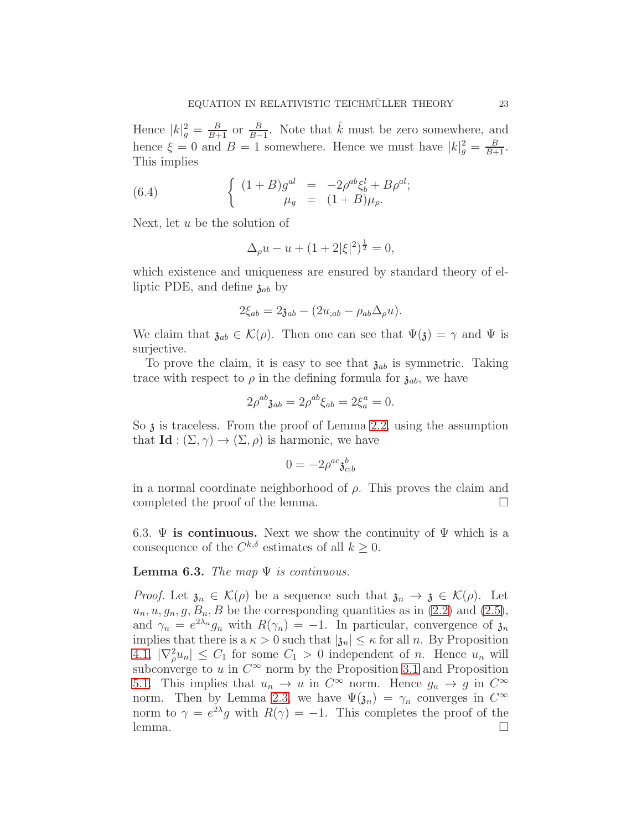Hence  $|k|^2_g = \frac{B}{B+1}$  or  $\frac{B}{B-1}$ . Note that  $\hat{k}$  must be zero somewhere, and hence  $\xi = 0$  and  $B = 1$  somewhere. Hence we must have  $|k|_g^2 = \frac{B}{B+1}$ . This implies

(6.4) 
$$
\begin{cases} (1+B)g^{al} = -2\rho^{ab}\xi_b^l + B\rho^{al};\\ \mu_g = (1+B)\mu_\rho. \end{cases}
$$

Next, let  $u$  be the solution of

$$
\Delta_{\rho}u - u + (1 + 2|\xi|^2)^{\frac{1}{2}} = 0,
$$

which existence and uniqueness are ensured by standard theory of elliptic PDE, and define  $\mathfrak{z}_{ab}$  by

$$
2\xi_{ab} = 2\mathfrak{z}_{ab} - (2u_{;ab} - \rho_{ab}\Delta_{\rho}u).
$$

We claim that  $\mathfrak{z}_{ab} \in \mathcal{K}(\rho)$ . Then one can see that  $\Psi(\mathfrak{z}) = \gamma$  and  $\Psi$  is surjective.

To prove the claim, it is easy to see that  $\mathfrak{z}_{ab}$  is symmetric. Taking trace with respect to  $\rho$  in the defining formula for  $\mathfrak{z}_{ab}$ , we have

$$
2\rho^{ab}\mathfrak{z}_{ab} = 2\rho^{ab}\xi_{ab} = 2\xi^a_a = 0.
$$

So  $\alpha$  is traceless. From the proof of Lemma [2.2,](#page-3-1) using the assumption that  $\mathbf{Id} : (\Sigma, \gamma) \to (\Sigma, \rho)$  is harmonic, we have

$$
0=-2\rho^{ac}\mathfrak{z}_{c;b}^b
$$

in a normal coordinate neighborhood of  $\rho$ . This proves the claim and completed the proof of the lemma.  $\square$ 

6.3.  $\Psi$  is continuous. Next we show the continuity of  $\Psi$  which is a consequence of the  $C^{k,\delta}$  estimates of all  $k \geq 0$ .

<span id="page-22-0"></span>**Lemma 6.3.** The map  $\Psi$  is continuous.

*Proof.* Let  $\mathfrak{z}_n \in \mathcal{K}(\rho)$  be a sequence such that  $\mathfrak{z}_n \to \mathfrak{z} \in \mathcal{K}(\rho)$ . Let  $u_n, u, g_n, g, B_n, B$  be the corresponding quantities as in [\(2.2\)](#page-2-2) and [\(2.5\)](#page-2-3), and  $\gamma_n = e^{2\lambda_n} g_n$  with  $R(\gamma_n) = -1$ . In particular, convergence of  $\mathfrak{z}_n$ implies that there is a  $\kappa > 0$  such that  $|\mathfrak{z}_n| \leq \kappa$  for all n. By Proposition [4.1,](#page-14-2)  $|\nabla_{\rho}^2 u_n| \leq C_1$  for some  $C_1 > 0$  independent of *n*. Hence  $u_n$  will subconverge to u in  $C^{\infty}$  norm by the Proposition [3.1](#page-6-1) and Proposition [5.1.](#page-14-1) This implies that  $u_n \to u$  in  $C^{\infty}$  norm. Hence  $g_n \to g$  in  $C^{\infty}$ norm. Then by Lemma [2.3,](#page-4-0) we have  $\Psi(\mathfrak{z}_n) = \gamma_n$  converges in  $C^{\infty}$ norm to  $\gamma = e^{2\lambda}g$  with  $R(\gamma) = -1$ . This completes the proof of the lemma. □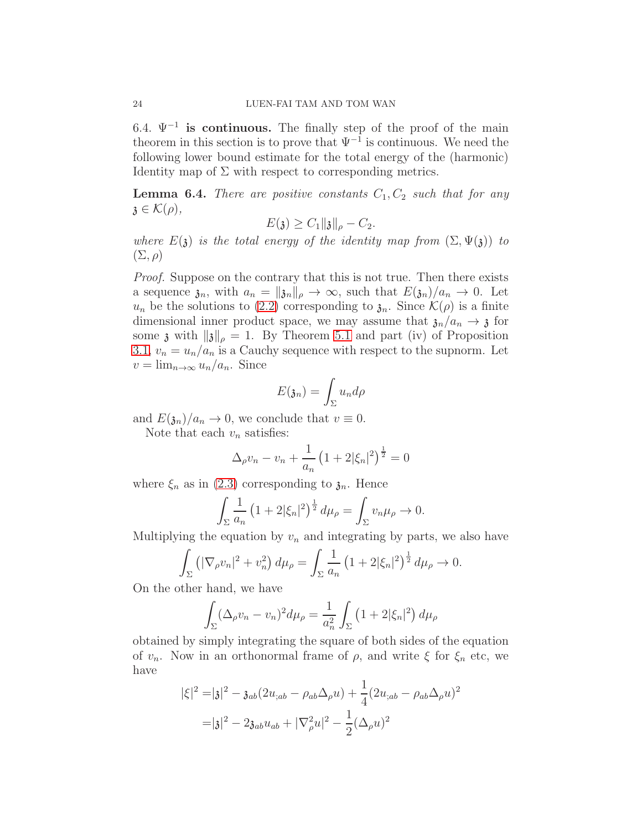6.4.  $\Psi^{-1}$  is continuous. The finally step of the proof of the main theorem in this section is to prove that  $\Psi^{-1}$  is continuous. We need the following lower bound estimate for the total energy of the (harmonic) Identity map of  $\Sigma$  with respect to corresponding metrics.

<span id="page-23-0"></span>**Lemma 6.4.** There are positive constants  $C_1, C_2$  such that for any  $\mathfrak{z} \in \mathcal{K}(\rho),$ 

$$
E(\mathfrak{z}) \geq C_1 \|\mathfrak{z}\|_{\rho} - C_2.
$$

where  $E(\mathfrak{z})$  is the total energy of the identity map from  $(\Sigma, \Psi(\mathfrak{z}))$  to  $(\Sigma, \rho)$ 

Proof. Suppose on the contrary that this is not true. Then there exists a sequence  $\mathfrak{z}_n$ , with  $a_n = ||\mathfrak{z}_n||_\rho \to \infty$ , such that  $E(\mathfrak{z}_n)/a_n \to 0$ . Let  $u_n$  be the solutions to [\(2.2\)](#page-2-2) corresponding to  $\mathfrak{z}_n$ . Since  $\mathcal{K}(\rho)$  is a finite dimensional inner product space, we may assume that  $\lambda_n/a_n \to \lambda$  for some  $\mathfrak z$  with  $\|\mathfrak z\|_\rho = 1$ . By Theorem [5.1](#page-17-1) and part (iv) of Proposition [3.1,](#page-6-1)  $v_n = u_n/a_n$  is a Cauchy sequence with respect to the supnorm. Let  $v = \lim_{n \to \infty} u_n/a_n$ . Since

$$
E(\mathfrak{z}_n)=\int_{\Sigma}u_nd\rho
$$

and  $E(\mathfrak{z}_n)/a_n \to 0$ , we conclude that  $v \equiv 0$ .

Note that each  $v_n$  satisfies:

$$
\Delta_{\rho} v_n - v_n + \frac{1}{a_n} \left( 1 + 2|\xi_n|^2 \right)^{\frac{1}{2}} = 0
$$

where  $\xi_n$  as in [\(2.3\)](#page-2-1) corresponding to  $\mathfrak{z}_n$ . Hence

$$
\int_{\Sigma} \frac{1}{a_n} \left( 1 + 2|\xi_n|^2 \right)^{\frac{1}{2}} d\mu_\rho = \int_{\Sigma} v_n \mu_\rho \to 0.
$$

Multiplying the equation by  $v_n$  and integrating by parts, we also have

$$
\int_{\Sigma} \left( |\nabla_{\rho} v_n|^2 + v_n^2 \right) d\mu_{\rho} = \int_{\Sigma} \frac{1}{a_n} \left( 1 + 2|\xi_n|^2 \right)^{\frac{1}{2}} d\mu_{\rho} \to 0.
$$

On the other hand, we have

$$
\int_{\Sigma} (\Delta_{\rho} v_n - v_n)^2 d\mu_{\rho} = \frac{1}{a_n^2} \int_{\Sigma} (1 + 2|\xi_n|^2) d\mu_{\rho}
$$

obtained by simply integrating the square of both sides of the equation of  $v_n$ . Now in an orthonormal frame of  $\rho$ , and write  $\xi$  for  $\xi_n$  etc, we have

$$
|\xi|^2 = |\mathfrak{z}|^2 - \mathfrak{z}_{ab}(2u_{;ab} - \rho_{ab}\Delta_{\rho}u) + \frac{1}{4}(2u_{;ab} - \rho_{ab}\Delta_{\rho}u)^2
$$

$$
= |\mathfrak{z}|^2 - 2\mathfrak{z}_{ab}u_{ab} + |\nabla_{\rho}^2 u|^2 - \frac{1}{2}(\Delta_{\rho}u)^2
$$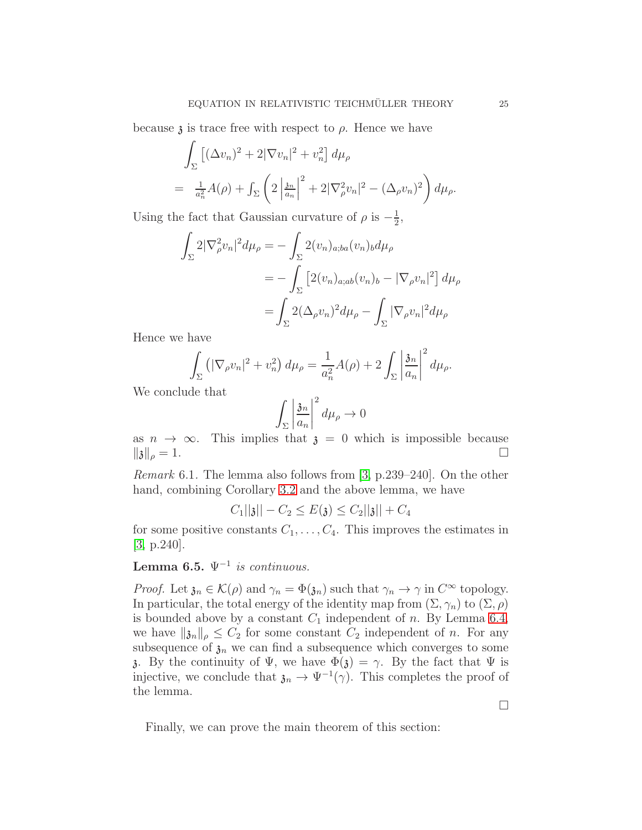because  $\lambda$  is trace free with respect to  $\rho$ . Hence we have

$$
\int_{\Sigma} \left[ (\Delta v_n)^2 + 2|\nabla v_n|^2 + v_n^2 \right] d\mu_{\rho}
$$
\n
$$
= \frac{1}{a_n^2} A(\rho) + \int_{\Sigma} \left( 2\left| \frac{\partial^2 u}{\partial u_n^2} \right|^2 + 2|\nabla_{\rho}^2 v_n|^2 - (\Delta_{\rho} v_n)^2 \right) d\mu_{\rho}.
$$

Using the fact that Gaussian curvature of  $\rho$  is  $-\frac{1}{2}$  $\frac{1}{2}$ ,

$$
\int_{\Sigma} 2|\nabla_{\rho}^2 v_n|^2 d\mu_{\rho} = -\int_{\Sigma} 2(v_n)_{a;ba}(v_n)_b d\mu_{\rho}
$$
  
= 
$$
-\int_{\Sigma} \left[2(v_n)_{a;ab}(v_n)_b - |\nabla_{\rho} v_n|^2\right] d\mu_{\rho}
$$
  
= 
$$
\int_{\Sigma} 2(\Delta_{\rho} v_n)^2 d\mu_{\rho} - \int_{\Sigma} |\nabla_{\rho} v_n|^2 d\mu_{\rho}
$$

Hence we have

$$
\int_{\Sigma} \left( |\nabla_{\rho} v_n|^2 + v_n^2 \right) d\mu_{\rho} = \frac{1}{a_n^2} A(\rho) + 2 \int_{\Sigma} \left| \frac{\mathfrak{z}_n}{a_n} \right|^2 d\mu_{\rho}.
$$

We conclude that

$$
\int_{\Sigma} \left| \frac{\mathfrak{z}_n}{a_n} \right|^2 d\mu_\rho \to 0
$$

as  $n \to \infty$ . This implies that  $\mathfrak{z} = 0$  which is impossible because  $\|\mathfrak{z}\|_{\rho} = 1$ .  $||\mathfrak{z}||_{\rho} = 1.$ 

Remark 6.1. The lemma also follows from [\[3,](#page-25-0) p.239–240]. On the other hand, combining Corollary [3.2](#page-9-1) and the above lemma, we have

$$
C_1||\mathfrak{z}|| - C_2 \le E(\mathfrak{z}) \le C_2||\mathfrak{z}|| + C_4
$$

for some positive constants  $C_1, \ldots, C_4$ . This improves the estimates in [\[3,](#page-25-0) p.240].

# <span id="page-24-0"></span>Lemma 6.5.  $\Psi^{-1}$  is continuous.

*Proof.* Let  $\mathfrak{z}_n \in \mathcal{K}(\rho)$  and  $\gamma_n = \Phi(\mathfrak{z}_n)$  such that  $\gamma_n \to \gamma$  in  $C^{\infty}$  topology. In particular, the total energy of the identity map from  $(\Sigma, \gamma_n)$  to  $(\Sigma, \rho)$ is bounded above by a constant  $C_1$  independent of n. By Lemma [6.4,](#page-23-0) we have  $\|\mathfrak{z}_n\|_{\rho} \leq C_2$  for some constant  $C_2$  independent of n. For any subsequence of  $\mathfrak{z}_n$  we can find a subsequence which converges to some  $\lambda$ . By the continuity of  $\Psi$ , we have  $\Phi(\lambda) = \gamma$ . By the fact that  $\Psi$  is injective, we conclude that  $\mathfrak{z}_n \to \Psi^{-1}(\gamma)$ . This completes the proof of the lemma.

Finally, we can prove the main theorem of this section:

 $\Box$